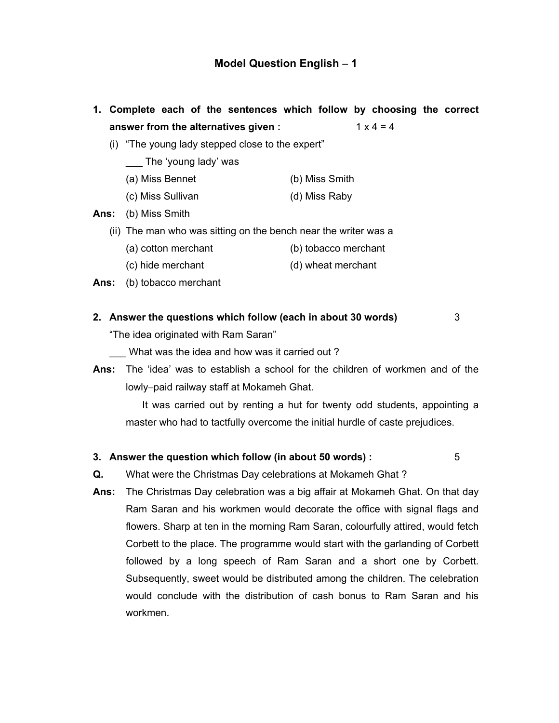- **1. Complete each of the sentences which follow by choosing the correct answer from the alternatives given :**  $1 \times 4 = 4$ 
	- (i) "The young lady stepped close to the expert"

The 'young lady' was

- (a) Miss Bennet (b) Miss Smith
- (c) Miss Sullivan (d) Miss Raby

**Ans:** (b) Miss Smith

- (ii) The man who was sitting on the bench near the writer was a
	- (a) cotton merchant (b) tobacco merchant
		- (c) hide merchant (d) wheat merchant
- **Ans:** (b) tobacco merchant
- **2. Answer the questions which follow (each in about 30 words)** 3

"The idea originated with Ram Saran"

- What was the idea and how was it carried out?
- **Ans:** The 'idea' was to establish a school for the children of workmen and of the lowly−paid railway staff at Mokameh Ghat.

It was carried out by renting a hut for twenty odd students, appointing a master who had to tactfully overcome the initial hurdle of caste prejudices.

#### **3. Answer the question which follow (in about 50 words) :** 5

**Q.** What were the Christmas Day celebrations at Mokameh Ghat ?

**Ans:** The Christmas Day celebration was a big affair at Mokameh Ghat. On that day Ram Saran and his workmen would decorate the office with signal flags and flowers. Sharp at ten in the morning Ram Saran, colourfully attired, would fetch Corbett to the place. The programme would start with the garlanding of Corbett followed by a long speech of Ram Saran and a short one by Corbett. Subsequently, sweet would be distributed among the children. The celebration would conclude with the distribution of cash bonus to Ram Saran and his workmen.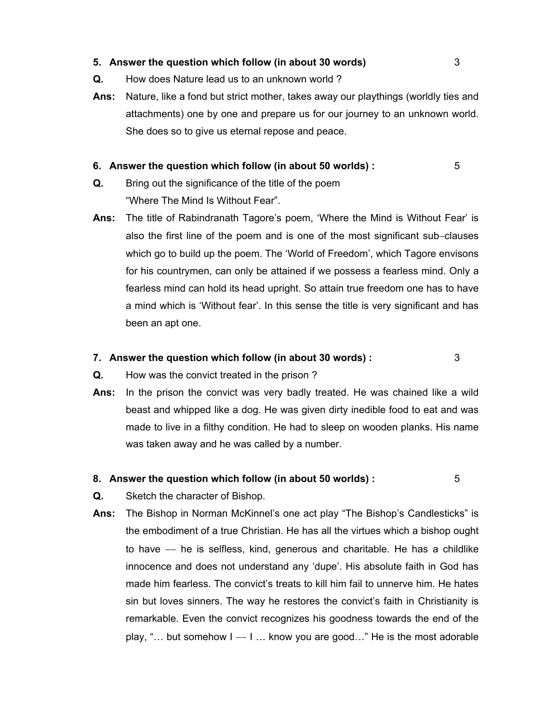#### **5. Answer the question which follow (in about 30 words)** 3

- **Q.** How does Nature lead us to an unknown world ?
- **Ans:** Nature, like a fond but strict mother, takes away our playthings (worldly ties and attachments) one by one and prepare us for our journey to an unknown world. She does so to give us eternal repose and peace.

#### **6. Answer the question which follow (in about 50 worlds) :** 5

- **Q.** Bring out the significance of the title of the poem "Where The Mind Is Without Fear".
- **Ans:** The title of Rabindranath Tagore's poem, 'Where the Mind is Without Fear' is also the first line of the poem and is one of the most significant sub−clauses which go to build up the poem. The 'World of Freedom', which Tagore envisons for his countrymen, can only be attained if we possess a fearless mind. Only a fearless mind can hold its head upright. So attain true freedom one has to have a mind which is 'Without fear'. In this sense the title is very significant and has been an apt one.

#### **7. Answer the question which follow (in about 30 words) :** 3

- **Q.** How was the convict treated in the prison ?
- **Ans:** In the prison the convict was very badly treated. He was chained like a wild beast and whipped like a dog. He was given dirty inedible food to eat and was made to live in a filthy condition. He had to sleep on wooden planks. His name was taken away and he was called by a number.

#### **8. Answer the question which follow (in about 50 worlds) :** 5

- **Q.** Sketch the character of Bishop.
- **Ans:** The Bishop in Norman McKinnel's one act play "The Bishop's Candlesticks" is the embodiment of a true Christian. He has all the virtues which a bishop ought to have −− he is selfless, kind, generous and charitable. He has a childlike innocence and does not understand any 'dupe'. His absolute faith in God has made him fearless. The convict's treats to kill him fail to unnerve him. He hates sin but loves sinners. The way he restores the convict's faith in Christianity is remarkable. Even the convict recognizes his goodness towards the end of the play, "… but somehow I –− I … know you are good…" He is the most adorable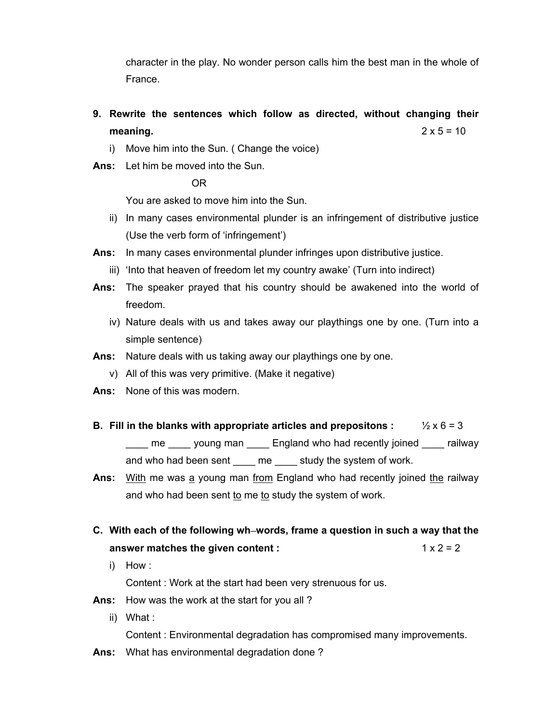character in the play. No wonder person calls him the best man in the whole of France.

- **9. Rewrite the sentences which follow as directed, without changing their meaning.**  $2 \times 5 = 10$ 
	- i) Move him into the Sun. ( Change the voice)
- **Ans:** Let him be moved into the Sun.

OR

You are asked to move him into the Sun.

- ii) In many cases environmental plunder is an infringement of distributive justice (Use the verb form of 'infringement')
- **Ans:** In many cases environmental plunder infringes upon distributive justice.
	- iii) 'Into that heaven of freedom let my country awake' (Turn into indirect)
- **Ans:** The speaker prayed that his country should be awakened into the world of freedom.
	- iv) Nature deals with us and takes away our playthings one by one. (Turn into a simple sentence)
- **Ans:** Nature deals with us taking away our playthings one by one.
	- v) All of this was very primitive. (Make it negative)
- **Ans:** None of this was modern.
- **B.** Fill in the blanks with appropriate articles and prepositons :  $\frac{1}{2} \times 6 = 3$ me young man England who had recently joined railway and who had been sent \_\_\_\_ me \_\_\_\_ study the system of work.
- **Ans:** With me was a young man from England who had recently joined the railway and who had been sent to me to study the system of work.
- **C. With each of the following wh**−**words, frame a question in such a way that the answer matches the given content :**  $1 \times 2 = 2$ 
	- i) How :

Content : Work at the start had been very strenuous for us.

- **Ans:** How was the work at the start for you all ?
	- ii) What :

Content : Environmental degradation has compromised many improvements.

**Ans:** What has environmental degradation done ?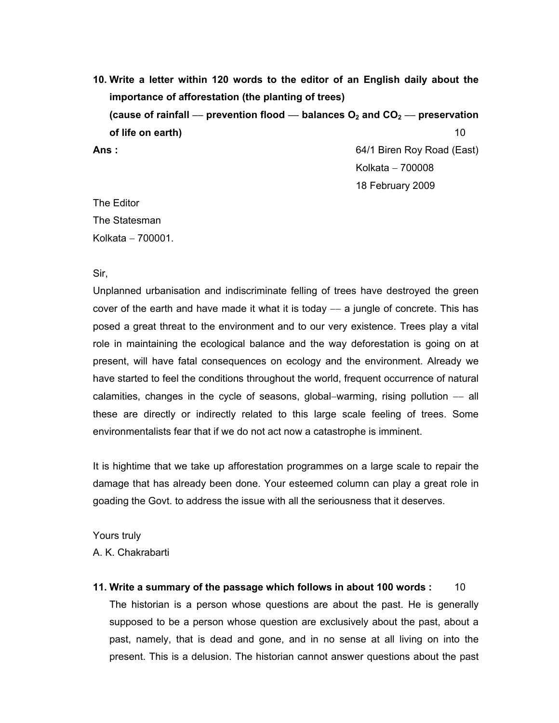**10. Write a letter within 120 words to the editor of an English daily about the importance of afforestation (the planting of trees) (cause of rainfall** −− **prevention flood** −− **balances O2 and CO2** −− **preservation of life on earth)** 10 Ans : **Ans :** 64/1 Biren Roy Road (East) Kolkata − 700008

18 February 2009

The Editor The Statesman Kolkata − 700001.

Sir,

Unplanned urbanisation and indiscriminate felling of trees have destroyed the green cover of the earth and have made it what it is today -− a jungle of concrete. This has posed a great threat to the environment and to our very existence. Trees play a vital role in maintaining the ecological balance and the way deforestation is going on at present, will have fatal consequences on ecology and the environment. Already we have started to feel the conditions throughout the world, frequent occurrence of natural calamities, changes in the cycle of seasons, global–warming, rising pollution -- all these are directly or indirectly related to this large scale feeling of trees. Some environmentalists fear that if we do not act now a catastrophe is imminent.

It is hightime that we take up afforestation programmes on a large scale to repair the damage that has already been done. Your esteemed column can play a great role in goading the Govt. to address the issue with all the seriousness that it deserves.

Yours truly A. K. Chakrabarti

**11. Write a summary of the passage which follows in about 100 words :** 10 The historian is a person whose questions are about the past. He is generally supposed to be a person whose question are exclusively about the past, about a past, namely, that is dead and gone, and in no sense at all living on into the present. This is a delusion. The historian cannot answer questions about the past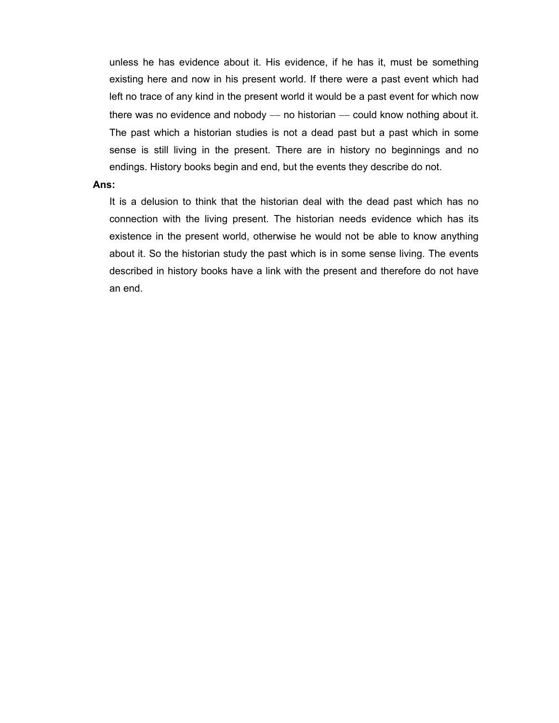unless he has evidence about it. His evidence, if he has it, must be something existing here and now in his present world. If there were a past event which had left no trace of any kind in the present world it would be a past event for which now there was no evidence and nobody — no historian — could know nothing about it. The past which a historian studies is not a dead past but a past which in some sense is still living in the present. There are in history no beginnings and no endings. History books begin and end, but the events they describe do not.

#### **Ans:**

It is a delusion to think that the historian deal with the dead past which has no connection with the living present. The historian needs evidence which has its existence in the present world, otherwise he would not be able to know anything about it. So the historian study the past which is in some sense living. The events described in history books have a link with the present and therefore do not have an end.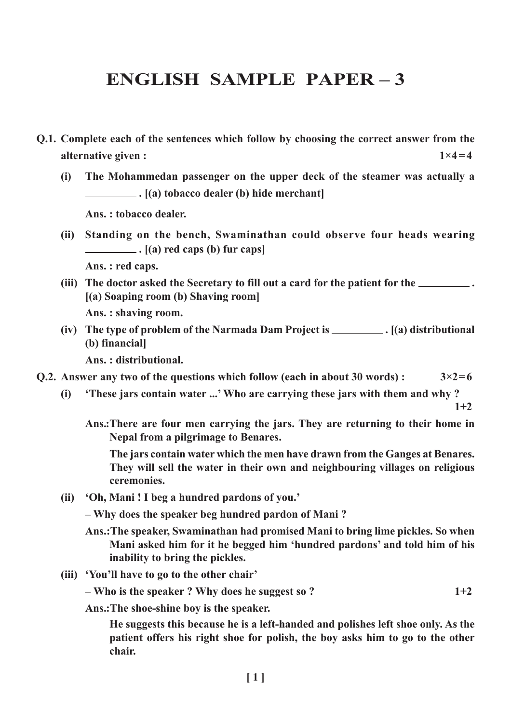# ENGLISH SAMPLE PAPER – 3

- Q.1. Complete each of the sentences which follow by choosing the correct answer from the alternative given :  $1 \times 4 = 4$ 
	- (i) The Mohammedan passenger on the upper deck of the steamer was actually a  $\Box$ .  $[(a)$  tobacco dealer (b) hide merchant

Ans. : tobacco dealer.

(ii) Standing on the bench, Swaminathan could observe four heads wearing  $\Box$ .  $[(a)$  red caps  $(b)$  fur caps

Ans. : red caps.

(iii) The doctor asked the Secretary to fill out a card for the patient for the \_\_\_\_\_\_\_\_. [(a) Soaping room (b) Shaving room]

Ans. : shaving room.

(iv) The type of problem of the Narmada Dam Project is  $\Box$  (a) distributional (b) financial]

Ans. : distributional.

- Q.2. Answer any two of the questions which follow (each in about 30 words) :  $3 \times 2 = 6$ 
	- (i) 'These jars contain water ...'Who are carrying these jars with them and why ?

 $1+2$ 

Ans.:There are four men carrying the jars. They are returning to their home in Nepal from a pilgrimage to Benares.

The jars contain water which the men have drawn from the Ganges at Benares. They will sell the water in their own and neighbouring villages on religious ceremonies.

(ii) 'Oh, Mani ! I beg a hundred pardons of you.'

– Why does the speaker beg hundred pardon of Mani ?

- Ans.:The speaker, Swaminathan had promised Mani to bring lime pickles. So when Mani asked him for it he begged him 'hundred pardons' and told him of his inability to bring the pickles.
- (iii) 'You'll have to go to the other chair'

 $-$  Who is the speaker ? Why does he suggest so ?  $1+2$ 

Ans.:The shoe-shine boy is the speaker.

He suggests this because he is a left-handed and polishes left shoe only. As the patient offers his right shoe for polish, the boy asks him to go to the other chair.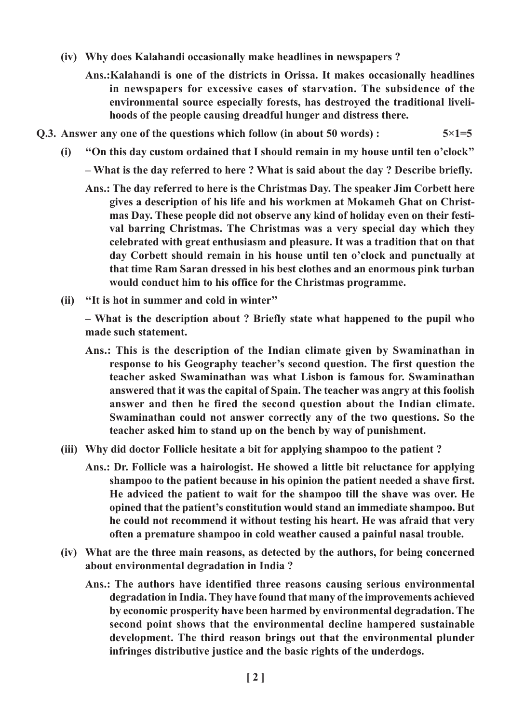- (iv) Why does Kalahandi occasionally make headlines in newspapers ?
	- Ans.:Kalahandi is one of the districts in Orissa. It makes occasionally headlines in newspapers for excessive cases of starvation. The subsidence of the environmental source especially forests, has destroyed the traditional livelihoods of the people causing dreadful hunger and distress there.
- Q.3. Answer any one of the questions which follow (in about 50 words) :  $5 \times 1 = 5$ 
	- (i) ''On this day custom ordained that I should remain in my house until ten o'clock''
		- What is the day referred to here ? What is said about the day ? Describe briefly.
		- Ans.: The day referred to here is the Christmas Day. The speaker Jim Corbett here gives a description of his life and his workmen at Mokameh Ghat on Christmas Day. These people did not observe any kind of holiday even on their festival barring Christmas. The Christmas was a very special day which they celebrated with great enthusiasm and pleasure. It was a tradition that on that day Corbett should remain in his house until ten o'clock and punctually at that time Ram Saran dressed in his best clothes and an enormous pink turban would conduct him to his office for the Christmas programme.
	- (ii) ''It is hot in summer and cold in winter''

– What is the description about ? Briefly state what happened to the pupil who made such statement.

- Ans.: This is the description of the Indian climate given by Swaminathan in response to his Geography teacher's second question. The first question the teacher asked Swaminathan was what Lisbon is famous for. Swaminathan answered that it was the capital of Spain. The teacher was angry at this foolish answer and then he fired the second question about the Indian climate. Swaminathan could not answer correctly any of the two questions. So the teacher asked him to stand up on the bench by way of punishment.
- (iii) Why did doctor Follicle hesitate a bit for applying shampoo to the patient ?
	- Ans.: Dr. Follicle was a hairologist. He showed a little bit reluctance for applying shampoo to the patient because in his opinion the patient needed a shave first. He adviced the patient to wait for the shampoo till the shave was over. He opined that the patient's constitution would stand an immediate shampoo. But he could not recommend it without testing his heart. He was afraid that very often a premature shampoo in cold weather caused a painful nasal trouble.
- (iv) What are the three main reasons, as detected by the authors, for being concerned about environmental degradation in India ?
	- Ans.: The authors have identified three reasons causing serious environmental degradation in India. They have found that many of the improvements achieved by economic prosperity have been harmed by environmental degradation. The second point shows that the environmental decline hampered sustainable development. The third reason brings out that the environmental plunder infringes distributive justice and the basic rights of the underdogs.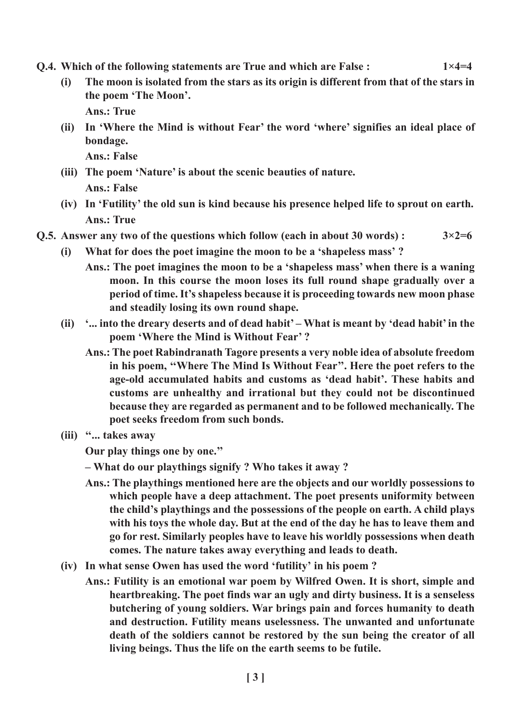- Q.4. Which of the following statements are True and which are False :  $1 \times 4 = 4$ 
	- (i) The moon is isolated from the stars as its origin is different from that of the stars in the poem 'The Moon'.

Ans.: True

(ii) In 'Where the Mind is without Fear' the word 'where' signifies an ideal place of bondage.

Ans.: False

- (iii) The poem 'Nature' is about the scenic beauties of nature. Ans.: False
- (iv) In 'Futility' the old sun is kind because his presence helped life to sprout on earth. Ans.: True
- Q.5. Answer any two of the questions which follow (each in about 30 words):  $3 \times 2 = 6$ 
	- (i) What for does the poet imagine the moon to be a 'shapeless mass' ?
		- Ans.: The poet imagines the moon to be a 'shapeless mass' when there is a waning moon. In this course the moon loses its full round shape gradually over a period of time. It's shapeless because it is proceeding towards new moon phase and steadily losing its own round shape.
	- (ii) '... into the dreary deserts and of dead habit' What is meant by 'dead habit' in the poem 'Where the Mind is Without Fear' ?
		- Ans.: The poet Rabindranath Tagore presents a very noble idea of absolute freedom in his poem, ''Where The Mind Is Without Fear''. Here the poet refers to the age-old accumulated habits and customs as 'dead habit'. These habits and customs are unhealthy and irrational but they could not be discontinued because they are regarded as permanent and to be followed mechanically. The poet seeks freedom from such bonds.
	- (iii) ''... takes away

Our play things one by one.''

- What do our playthings signify ? Who takes it away ?
- Ans.: The playthings mentioned here are the objects and our worldly possessions to which people have a deep attachment. The poet presents uniformity between the child's playthings and the possessions of the people on earth. A child plays with his toys the whole day. But at the end of the day he has to leave them and go for rest. Similarly peoples have to leave his worldly possessions when death comes. The nature takes away everything and leads to death.
- (iv) In what sense Owen has used the word 'futility' in his poem ?
	- Ans.: Futility is an emotional war poem by Wilfred Owen. It is short, simple and heartbreaking. The poet finds war an ugly and dirty business. It is a senseless butchering of young soldiers. War brings pain and forces humanity to death and destruction. Futility means uselessness. The unwanted and unfortunate death of the soldiers cannot be restored by the sun being the creator of all living beings. Thus the life on the earth seems to be futile.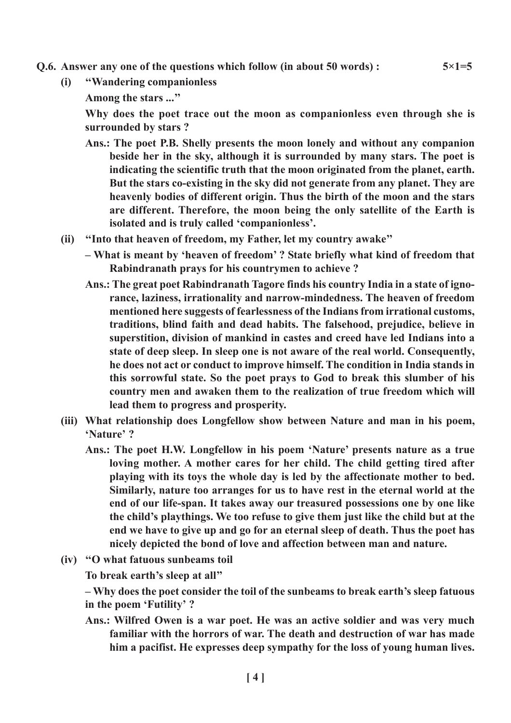- Q.6. Answer any one of the questions which follow (in about 50 words) :  $5 \times 1 = 5$ 
	- (i) ''Wandering companionless
		- Among the stars ...''

Why does the poet trace out the moon as companionless even through she is surrounded by stars ?

- Ans.: The poet P.B. Shelly presents the moon lonely and without any companion beside her in the sky, although it is surrounded by many stars. The poet is indicating the scientific truth that the moon originated from the planet, earth. But the stars co-existing in the sky did not generate from any planet. They are heavenly bodies of different origin. Thus the birth of the moon and the stars are different. Therefore, the moon being the only satellite of the Earth is isolated and is truly called 'companionless'.
- (ii) ''Into that heaven of freedom, my Father, let my country awake''
	- What is meant by 'heaven of freedom' ? State briefly what kind of freedom that Rabindranath prays for his countrymen to achieve ?
	- Ans.: The great poet Rabindranath Tagore finds his country India in a state of ignorance, laziness, irrationality and narrow-mindedness. The heaven of freedom mentioned here suggests of fearlessness of the Indians from irrational customs, traditions, blind faith and dead habits. The falsehood, prejudice, believe in superstition, division of mankind in castes and creed have led Indians into a state of deep sleep. In sleep one is not aware of the real world. Consequently, he does not act or conduct to improve himself. The condition in India stands in this sorrowful state. So the poet prays to God to break this slumber of his country men and awaken them to the realization of true freedom which will lead them to progress and prosperity.
- (iii) What relationship does Longfellow show between Nature and man in his poem, 'Nature' ?
	- Ans.: The poet H.W. Longfellow in his poem 'Nature' presents nature as a true loving mother. A mother cares for her child. The child getting tired after playing with its toys the whole day is led by the affectionate mother to bed. Similarly, nature too arranges for us to have rest in the eternal world at the end of our life-span. It takes away our treasured possessions one by one like the child's playthings. We too refuse to give them just like the child but at the end we have to give up and go for an eternal sleep of death. Thus the poet has nicely depicted the bond of love and affection between man and nature.
- (iv) ''O what fatuous sunbeams toil

To break earth's sleep at all''

– Why does the poet consider the toil of the sunbeams to break earth's sleep fatuous in the poem 'Futility' ?

Ans.: Wilfred Owen is a war poet. He was an active soldier and was very much familiar with the horrors of war. The death and destruction of war has made him a pacifist. He expresses deep sympathy for the loss of young human lives.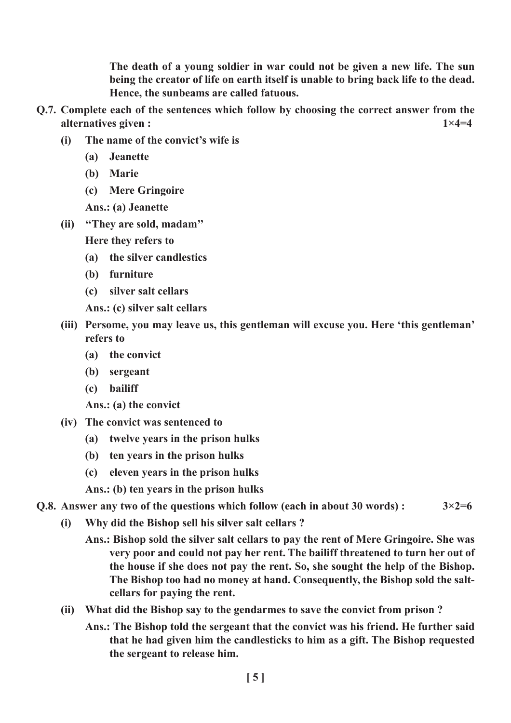The death of a young soldier in war could not be given a new life. The sun being the creator of life on earth itself is unable to bring back life to the dead. Hence, the sunbeams are called fatuous.

- Q.7. Complete each of the sentences which follow by choosing the correct answer from the alternatives given :  $1 \times 4=4$ 
	- (i) The name of the convict's wife is
		- (a) Jeanette
		- (b) Marie
		- (c) Mere Gringoire

Ans.: (a) Jeanette

(ii) ''They are sold, madam''

Here they refers to

- (a) the silver candlestics
- (b) furniture
- (c) silver salt cellars
- Ans.: (c) silver salt cellars
- (iii) Persome, you may leave us, this gentleman will excuse you. Here 'this gentleman' refers to
	- (a) the convict
	- (b) sergeant
	- (c) bailiff
	- Ans.: (a) the convict
- (iv) The convict was sentenced to
	- (a) twelve years in the prison hulks
	- (b) ten years in the prison hulks
	- (c) eleven years in the prison hulks
	- Ans.: (b) ten years in the prison hulks

# **O.8.** Answer any two of the questions which follow (each in about 30 words) :  $3 \times 2 = 6$

- (i) Why did the Bishop sell his silver salt cellars ?
	- Ans.: Bishop sold the silver salt cellars to pay the rent of Mere Gringoire. She was very poor and could not pay her rent. The bailiff threatened to turn her out of the house if she does not pay the rent. So, she sought the help of the Bishop. The Bishop too had no money at hand. Consequently, the Bishop sold the saltcellars for paying the rent.
- (ii) What did the Bishop say to the gendarmes to save the convict from prison ?
	- Ans.: The Bishop told the sergeant that the convict was his friend. He further said that he had given him the candlesticks to him as a gift. The Bishop requested the sergeant to release him.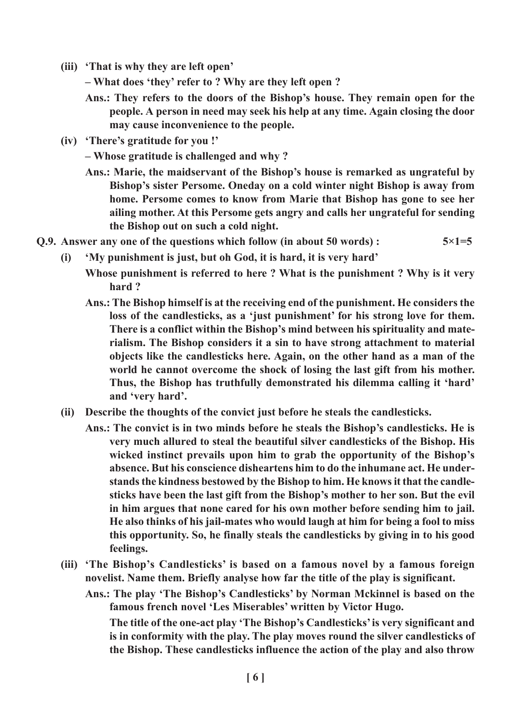- (iii) 'That is why they are left open'
	- What does 'they' refer to ? Why are they left open ?
	- Ans.: They refers to the doors of the Bishop's house. They remain open for the people. A person in need may seek his help at any time. Again closing the door may cause inconvenience to the people.
- (iv) 'There's gratitude for you !'
	- Whose gratitude is challenged and why ?
	- Ans.: Marie, the maidservant of the Bishop's house is remarked as ungrateful by Bishop's sister Persome. Oneday on a cold winter night Bishop is away from home. Persome comes to know from Marie that Bishop has gone to see her ailing mother. At this Persome gets angry and calls her ungrateful for sending the Bishop out on such a cold night.
- **O.9.** Answer any one of the questions which follow (in about 50 words) :  $5 \times 1 = 5$ 
	- (i) 'My punishment is just, but oh God, it is hard, it is very hard'
		- Whose punishment is referred to here ? What is the punishment ? Why is it very hard ?
		- Ans.: The Bishop himself is at the receiving end of the punishment. He considers the loss of the candlesticks, as a 'just punishment' for his strong love for them. There is a conflict within the Bishop's mind between his spirituality and materialism. The Bishop considers it a sin to have strong attachment to material objects like the candlesticks here. Again, on the other hand as a man of the world he cannot overcome the shock of losing the last gift from his mother. Thus, the Bishop has truthfully demonstrated his dilemma calling it 'hard' and 'very hard'.
	- (ii) Describe the thoughts of the convict just before he steals the candlesticks.
		- Ans.: The convict is in two minds before he steals the Bishop's candlesticks. He is very much allured to steal the beautiful silver candlesticks of the Bishop. His wicked instinct prevails upon him to grab the opportunity of the Bishop's absence. But his conscience disheartens him to do the inhumane act. He understands the kindness bestowed by the Bishop to him. He knows it that the candlesticks have been the last gift from the Bishop's mother to her son. But the evil in him argues that none cared for his own mother before sending him to jail. He also thinks of his jail-mates who would laugh at him for being a fool to miss this opportunity. So, he finally steals the candlesticks by giving in to his good feelings.
	- (iii) 'The Bishop's Candlesticks' is based on a famous novel by a famous foreign novelist. Name them. Briefly analyse how far the title of the play is significant.

Ans.: The play 'The Bishop's Candlesticks' by Norman Mckinnel is based on the famous french novel 'Les Miserables' written by Victor Hugo. The title of the one-act play 'The Bishop's Candlesticks' is very significant and is in conformity with the play. The play moves round the silver candlesticks of the Bishop. These candlesticks influence the action of the play and also throw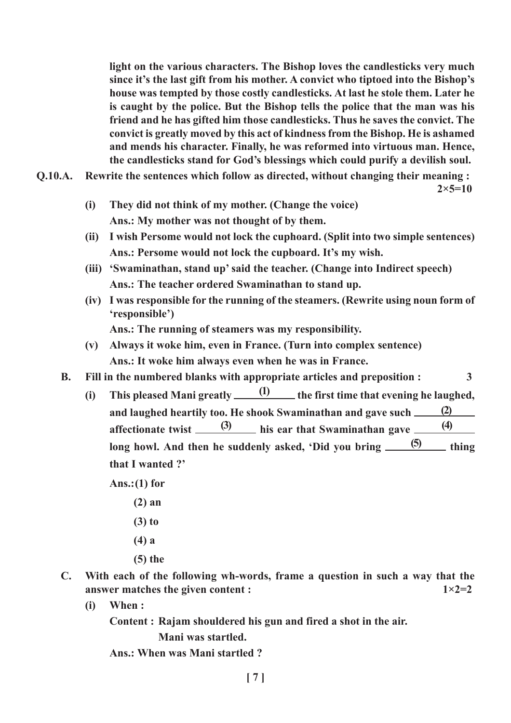light on the various characters. The Bishop loves the candlesticks very much since it's the last gift from his mother. A convict who tiptoed into the Bishop's house was tempted by those costly candlesticks. At last he stole them. Later he is caught by the police. But the Bishop tells the police that the man was his friend and he has gifted him those candlesticks. Thus he saves the convict. The convict is greatly moved by this act of kindness from the Bishop. He is ashamed and mends his character. Finally, he was reformed into virtuous man. Hence, the candlesticks stand for God's blessings which could purify a devilish soul.

Q.10.A. Rewrite the sentences which follow as directed, without changing their meaning :

 $2 \times 5 = 10$ 

- (i) They did not think of my mother. (Change the voice) Ans.: My mother was not thought of by them.
- (ii) I wish Persome would not lock the cuphoard. (Split into two simple sentences) Ans.: Persome would not lock the cupboard. It's my wish.
- (iii) 'Swaminathan, stand up' said the teacher. (Change into Indirect speech) Ans.: The teacher ordered Swaminathan to stand up.
- (iv) I was responsible for the running of the steamers. (Rewrite using noun form of 'responsible')

Ans.: The running of steamers was my responsibility.

- (v) Always it woke him, even in France. (Turn into complex sentence) Ans.: It woke him always even when he was in France.
- B. Fill in the numbered blanks with appropriate articles and preposition : 3
	- (i) This pleased Mani greatly  $\qquad \qquad \frac{(1)}{2}$  the first time that evening he laughed, and laughed heartily too. He shook Swaminathan and gave such affectionate twist  $\frac{(3)}{2}$  his ear that Swaminathan gave  $\frac{(4)}{2}$ long howl. And then he suddenly asked, 'Did you bring  $\frac{(5)}{2}$  thing that I wanted ?' (2) (5)

Ans.: $(1)$  for

- (2) an
- (3) to
- (4) a
- (5) the
- C. With each of the following wh-words, frame a question in such a way that the answer matches the given content :  $1 \times 2=2$ 
	- (i) When :

Content : Rajam shouldered his gun and fired a shot in the air.

Mani was startled.

Ans.: When was Mani startled ?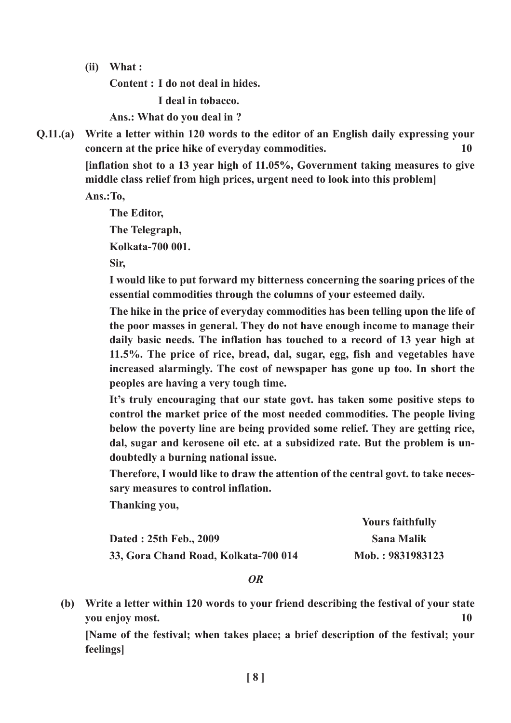(ii) What :

Content : I do not deal in hides.

I deal in tobacco.

Ans.: What do you deal in ?

Q.11.(a) Write a letter within 120 words to the editor of an English daily expressing your concern at the price hike of everyday commodities. 10

> [inflation shot to a 13 year high of 11.05%, Government taking measures to give middle class relief from high prices, urgent need to look into this problem]

Ans.:To,

The Editor,

The Telegraph,

Kolkata-700 001.

Sir,

I would like to put forward my bitterness concerning the soaring prices of the essential commodities through the columns of your esteemed daily.

The hike in the price of everyday commodities has been telling upon the life of the poor masses in general. They do not have enough income to manage their daily basic needs. The inflation has touched to a record of 13 year high at 11.5%. The price of rice, bread, dal, sugar, egg, fish and vegetables have increased alarmingly. The cost of newspaper has gone up too. In short the peoples are having a very tough time.

It's truly encouraging that our state govt. has taken some positive steps to control the market price of the most needed commodities. The people living below the poverty line are being provided some relief. They are getting rice, dal, sugar and kerosene oil etc. at a subsidized rate. But the problem is undoubtedly a burning national issue.

Therefore, I would like to draw the attention of the central govt. to take necessary measures to control inflation.

Thanking you,

|                                      | <b>Yours faithfully</b> |
|--------------------------------------|-------------------------|
| Dated : 25th Feb., 2009              | <b>Sana Malik</b>       |
| 33, Gora Chand Road, Kolkata-700 014 | Mob.: 9831983123        |

## OR

(b) Write a letter within 120 words to your friend describing the festival of your state you enjoy most. 10

[Name of the festival; when takes place; a brief description of the festival; your feelings]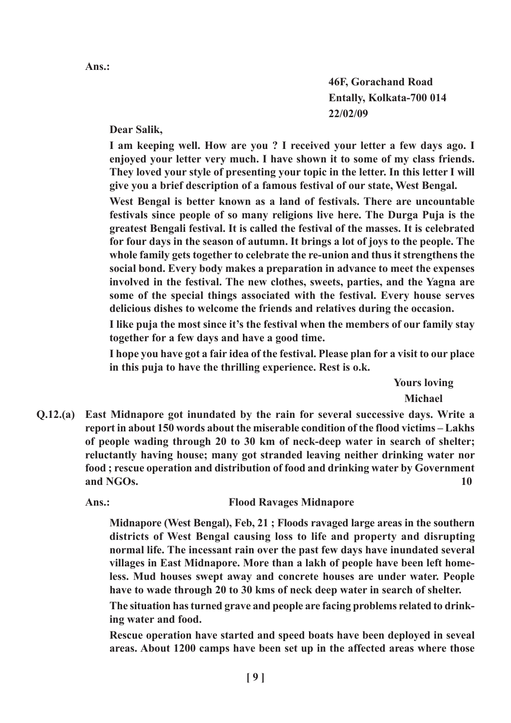46F, Gorachand Road Entally, Kolkata-700 014 22/02/09

## Dear Salik,

I am keeping well. How are you ? I received your letter a few days ago. I enjoyed your letter very much. I have shown it to some of my class friends. They loved your style of presenting your topic in the letter. In this letter I will give you a brief description of a famous festival of our state, West Bengal.

West Bengal is better known as a land of festivals. There are uncountable festivals since people of so many religions live here. The Durga Puja is the greatest Bengali festival. It is called the festival of the masses. It is celebrated for four days in the season of autumn. It brings a lot of joys to the people. The whole family gets together to celebrate the re-union and thus it strengthens the social bond. Every body makes a preparation in advance to meet the expenses involved in the festival. The new clothes, sweets, parties, and the Yagna are some of the special things associated with the festival. Every house serves delicious dishes to welcome the friends and relatives during the occasion.

I like puja the most since it's the festival when the members of our family stay together for a few days and have a good time.

I hope you have got a fair idea of the festival. Please plan for a visit to our place in this puja to have the thrilling experience. Rest is o.k.

> Yours loving Michael

Q.12.(a) East Midnapore got inundated by the rain for several successive days. Write a report in about 150 words about the miserable condition of the flood victims – Lakhs of people wading through 20 to 30 km of neck-deep water in search of shelter; reluctantly having house; many got stranded leaving neither drinking water nor food ; rescue operation and distribution of food and drinking water by Government and NGOs. 10

Ans.: Flood Ravages Midnapore

Midnapore (West Bengal), Feb, 21 ; Floods ravaged large areas in the southern districts of West Bengal causing loss to life and property and disrupting normal life. The incessant rain over the past few days have inundated several villages in East Midnapore. More than a lakh of people have been left homeless. Mud houses swept away and concrete houses are under water. People have to wade through 20 to 30 kms of neck deep water in search of shelter.

The situation has turned grave and people are facing problems related to drinking water and food.

Rescue operation have started and speed boats have been deployed in seveal areas. About 1200 camps have been set up in the affected areas where those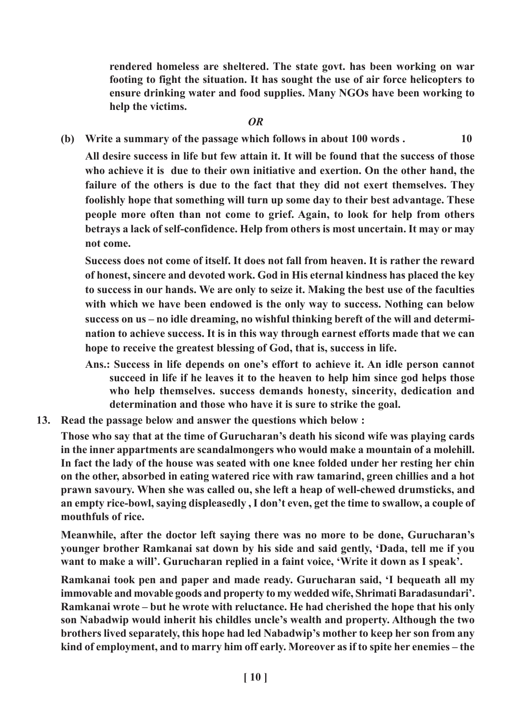rendered homeless are sheltered. The state govt. has been working on war footing to fight the situation. It has sought the use of air force helicopters to ensure drinking water and food supplies. Many NGOs have been working to help the victims.

### OR

(b) Write a summary of the passage which follows in about  $100$  words .  $10$ 

All desire success in life but few attain it. It will be found that the success of those who achieve it is due to their own initiative and exertion. On the other hand, the failure of the others is due to the fact that they did not exert themselves. They foolishly hope that something will turn up some day to their best advantage. These people more often than not come to grief. Again, to look for help from others betrays a lack of self-confidence. Help from others is most uncertain. It may or may not come.

Success does not come of itself. It does not fall from heaven. It is rather the reward of honest, sincere and devoted work. God in His eternal kindness has placed the key to success in our hands. We are only to seize it. Making the best use of the faculties with which we have been endowed is the only way to success. Nothing can below success on us – no idle dreaming, no wishful thinking bereft of the will and determination to achieve success. It is in this way through earnest efforts made that we can hope to receive the greatest blessing of God, that is, success in life.

- Ans.: Success in life depends on one's effort to achieve it. An idle person cannot succeed in life if he leaves it to the heaven to help him since god helps those who help themselves. success demands honesty, sincerity, dedication and determination and those who have it is sure to strike the goal.
- 13. Read the passage below and answer the questions which below :

Those who say that at the time of Gurucharan's death his sicond wife was playing cards in the inner appartments are scandalmongers who would make a mountain of a molehill. In fact the lady of the house was seated with one knee folded under her resting her chin on the other, absorbed in eating watered rice with raw tamarind, green chillies and a hot prawn savoury. When she was called ou, she left a heap of well-chewed drumsticks, and an empty rice-bowl, saying displeasedly , I don't even, get the time to swallow, a couple of mouthfuls of rice.

Meanwhile, after the doctor left saying there was no more to be done, Gurucharan's younger brother Ramkanai sat down by his side and said gently, 'Dada, tell me if you want to make a will'. Gurucharan replied in a faint voice, 'Write it down as I speak'.

Ramkanai took pen and paper and made ready. Gurucharan said, 'I bequeath all my immovable and movable goods and property to my wedded wife, Shrimati Baradasundari'. Ramkanai wrote – but he wrote with reluctance. He had cherished the hope that his only son Nabadwip would inherit his childles uncle's wealth and property. Although the two brothers lived separately, this hope had led Nabadwip's mother to keep her son from any kind of employment, and to marry him off early. Moreover as if to spite her enemies – the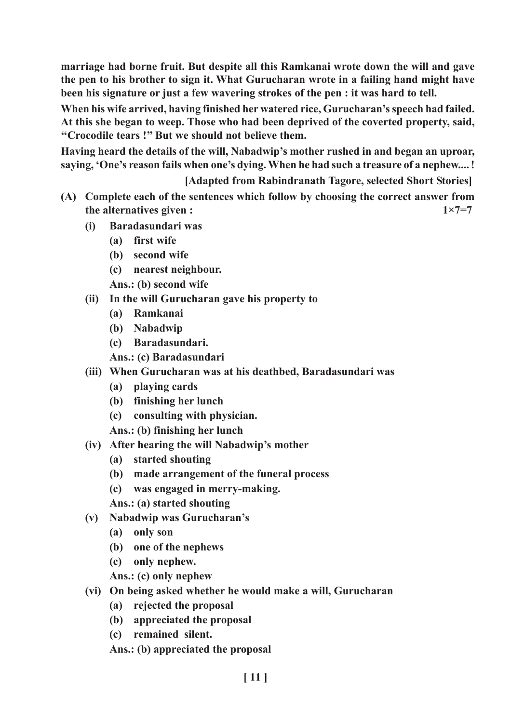marriage had borne fruit. But despite all this Ramkanai wrote down the will and gave the pen to his brother to sign it. What Gurucharan wrote in a failing hand might have been his signature or just a few wavering strokes of the pen : it was hard to tell.

When his wife arrived, having finished her watered rice, Gurucharan's speech had failed. At this she began to weep. Those who had been deprived of the coverted property, said, ''Crocodile tears !'' But we should not believe them.

Having heard the details of the will, Nabadwip's mother rushed in and began an uproar, saying, 'One's reason fails when one's dying. When he had such a treasure of a nephew....!

[Adapted from Rabindranath Tagore, selected Short Stories]

- (A) Complete each of the sentences which follow by choosing the correct answer from the alternatives given :  $1 \times 7 = 7$ 
	- (i) Baradasundari was
		- (a) first wife
		- (b) second wife
		- (c) nearest neighbour.
		- Ans.: (b) second wife
	- (ii) In the will Gurucharan gave his property to
		- (a) Ramkanai
		- (b) Nabadwip
		- (c) Baradasundari.
		- Ans.: (c) Baradasundari
	- (iii) When Gurucharan was at his deathbed, Baradasundari was
		- (a) playing cards
		- (b) finishing her lunch
		- (c) consulting with physician.

Ans.: (b) finishing her lunch

- (iv) After hearing the will Nabadwip's mother
	- (a) started shouting
	- (b) made arrangement of the funeral process
	- (c) was engaged in merry-making.

Ans.: (a) started shouting

- (v) Nabadwip was Gurucharan's
	- (a) only son
	- (b) one of the nephews
	- (c) only nephew.

Ans.: (c) only nephew

- (vi) On being asked whether he would make a will, Gurucharan
	- (a) rejected the proposal
	- (b) appreciated the proposal
	- (c) remained silent.

Ans.: (b) appreciated the proposal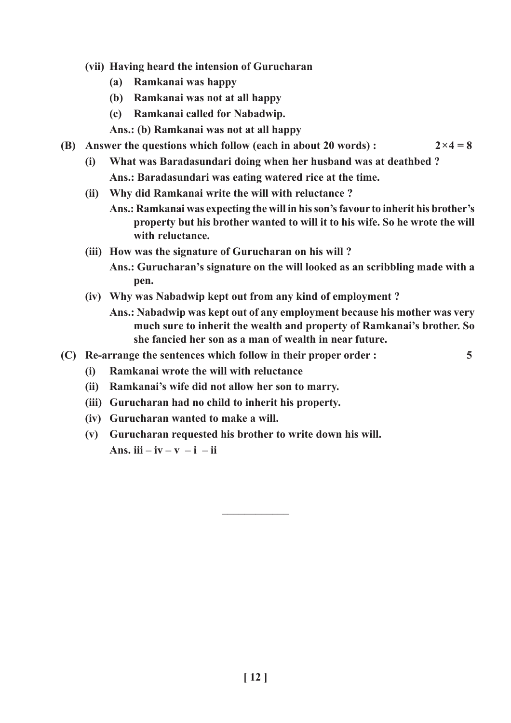- (vii) Having heard the intension of Gurucharan
	- (a) Ramkanai was happy
	- (b) Ramkanai was not at all happy
	- (c) Ramkanai called for Nabadwip.
	- Ans.: (b) Ramkanai was not at all happy
- (B) Answer the questions which follow (each in about 20 words) :  $2 \times 4 = 8$ 
	- (i) What was Baradasundari doing when her husband was at deathbed ? Ans.: Baradasundari was eating watered rice at the time.
	- (ii) Why did Ramkanai write the will with reluctance ?
		- Ans.: Ramkanai was expecting the will in his son's favour to inherit his brother's property but his brother wanted to will it to his wife. So he wrote the will with reluctance.
	- (iii) How was the signature of Gurucharan on his will?
		- Ans.: Gurucharan's signature on the will looked as an scribbling made with a pen.
	- (iv) Why was Nabadwip kept out from any kind of employment ?
		- Ans.: Nabadwip was kept out of any employment because his mother was very much sure to inherit the wealth and property of Ramkanai's brother. So she fancied her son as a man of wealth in near future.
- (C) Re-arrange the sentences which follow in their proper order : 5

- (i) Ramkanai wrote the will with reluctance
- (ii) Ramkanai's wife did not allow her son to marry.
- (iii) Gurucharan had no child to inherit his property.
- (iv) Gurucharan wanted to make a will.
- (v) Gurucharan requested his brother to write down his will. Ans. iii – iv – v – i – ii

––––––––––––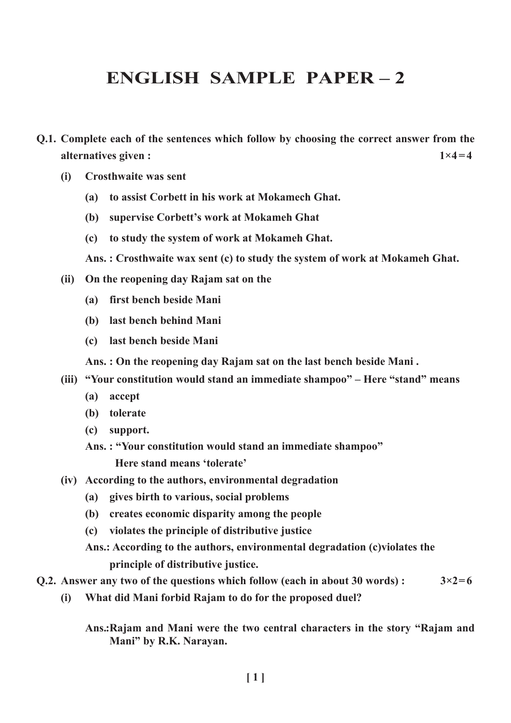# ENGLISH SAMPLE PAPER – 2

- Q.1. Complete each of the sentences which follow by choosing the correct answer from the alternatives given :  $1 \times 4 = 4$ 
	- (i) Crosthwaite was sent
		- (a) to assist Corbett in his work at Mokamech Ghat.
		- (b) supervise Corbett's work at Mokameh Ghat
		- (c) to study the system of work at Mokameh Ghat.
		- Ans. : Crosthwaite wax sent (c) to study the system of work at Mokameh Ghat.
	- (ii) On the reopening day Rajam sat on the
		- (a) first bench beside Mani
		- (b) last bench behind Mani
		- (c) last bench beside Mani

Ans. : On the reopening day Rajam sat on the last bench beside Mani .

- (iii) "Your constitution would stand an immediate shampoo" Here "stand" means
	- (a) accept
	- (b) tolerate
	- (c) support.
	- Ans. : "Your constitution would stand an immediate shampoo" Here stand means 'tolerate'
- (iv) According to the authors, environmental degradation
	- (a) gives birth to various, social problems
	- (b) creates economic disparity among the people
	- (c) violates the principle of distributive justice
	- Ans.: According to the authors, environmental degradation (c)violates the principle of distributive justice.
- Q.2. Answer any two of the questions which follow (each in about 30 words) :  $3 \times 2 = 6$ 
	- (i) What did Mani forbid Rajam to do for the proposed duel?

Ans.:Rajam and Mani were the two central characters in the story "Rajam and Mani" by R.K. Narayan.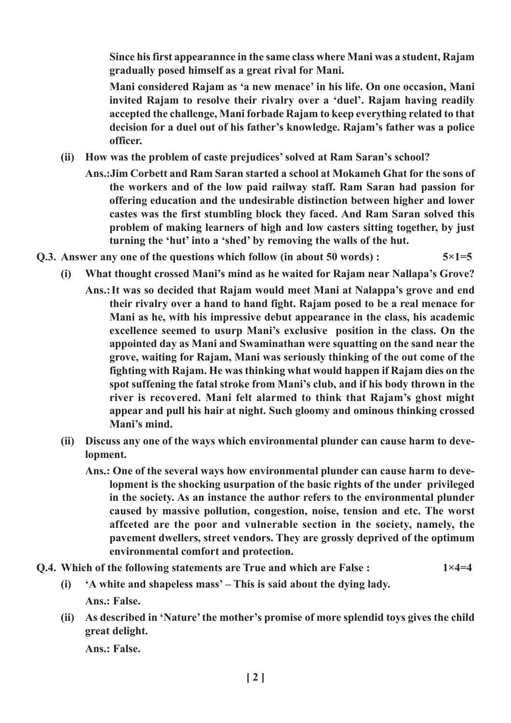Since his first appearannce in the same class where Mani was a student, Rajam gradually posed himself as a great rival for Mani.

Mani considered Rajam as 'a new menace' in his life. On one occasion, Mani invited Rajam to resolve their rivalry over a 'duel'. Rajam having readily accepted the challenge, Mani forbade Rajam to keep everything related to that decision for a duel out of his father's knowledge. Rajam's father was a police officer.

- (ii) How was the problem of caste prejudices' solved at Ram Saran's school?
	- Ans.:Jim Corbett and Ram Saran started a school at Mokameh Ghat for the sons of the workers and of the low paid railway staff. Ram Saran had passion for offering education and the undesirable distinction between higher and lower castes was the first stumbling block they faced. And Ram Saran solved this problem of making learners of high and low casters sitting together, by just turning the 'hut' into a 'shed' by removing the walls of the hut.
- Q.3. Answer any one of the questions which follow (in about 50 words) :  $5 \times 1 = 5$ 
	- (i) What thought crossed Mani's mind as he waited for Rajam near Nallapa's Grove?
		- Ans.:It was so decided that Rajam would meet Mani at Nalappa's grove and end their rivalry over a hand to hand fight. Rajam posed to be a real menace for Mani as he, with his impressive debut appearance in the class, his academic excellence seemed to usurp Mani's exclusive position in the class. On the appointed day as Mani and Swaminathan were squatting on the sand near the grove, waiting for Rajam, Mani was seriously thinking of the out come of the fighting with Rajam. He was thinking what would happen if Rajam dies on the spot suffening the fatal stroke from Mani's club, and if his body thrown in the river is recovered. Mani felt alarmed to think that Rajam's ghost might appear and pull his hair at night. Such gloomy and ominous thinking crossed Mani's mind.
	- (ii) Discuss any one of the ways which environmental plunder can cause harm to development.
		- Ans.: One of the several ways how environmental plunder can cause harm to development is the shocking usurpation of the basic rights of the under privileged in the society. As an instance the author refers to the environmental plunder caused by massive pollution, congestion, noise, tension and etc. The worst affceted are the poor and vulnerable section in the society, namely, the pavement dwellers, street vendors. They are grossly deprived of the optimum environmental comfort and protection.
- Q.4. Which of the following statements are True and which are False :  $1 \times 4 = 4$ 
	- (i) 'A white and shapeless mass' This is said about the dying lady. Ans.: False.
	- (ii) As described in 'Nature' the mother's promise of more splendid toys gives the child great delight.

Ans.: False.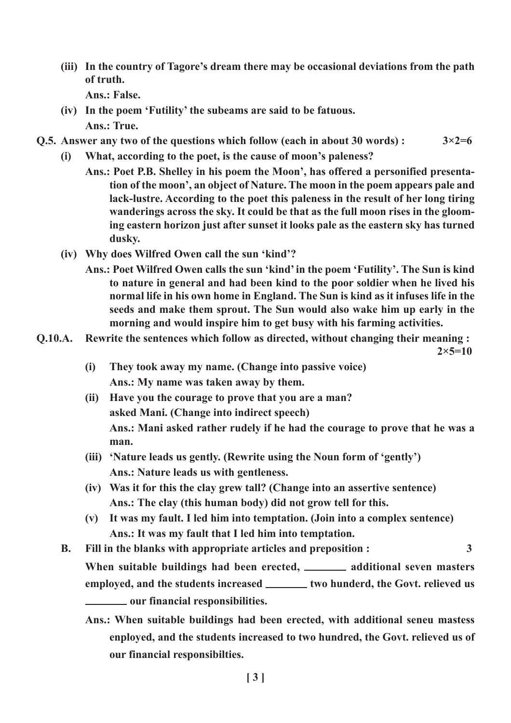(iii) In the country of Tagore's dream there may be occasional deviations from the path of truth. Ans.: False.

(iv) In the poem 'Futility' the subeams are said to be fatuous.

Ans.: True.

- Q.5. Answer any two of the questions which follow (each in about 30 words) :  $3 \times 2 = 6$ 
	- (i) What, according to the poet, is the cause of moon's paleness?
		- Ans.: Poet P.B. Shelley in his poem the Moon', has offered a personified presentation of the moon', an object of Nature. The moon in the poem appears pale and lack-lustre. According to the poet this paleness in the result of her long tiring wanderings across the sky. It could be that as the full moon rises in the glooming eastern horizon just after sunset it looks pale as the eastern sky has turned dusky.
	- (iv) Why does Wilfred Owen call the sun 'kind'?
		- Ans.: Poet Wilfred Owen calls the sun 'kind' in the poem 'Futility'. The Sun is kind to nature in general and had been kind to the poor soldier when he lived his normal life in his own home in England. The Sun is kind as it infuses life in the seeds and make them sprout. The Sun would also wake him up early in the morning and would inspire him to get busy with his farming activities.
- Q.10.A. Rewrite the sentences which follow as directed, without changing their meaning :

 $2 \times 5 = 10$ 

- (i) They took away my name. (Change into passive voice) Ans.: My name was taken away by them.
- (ii) Have you the courage to prove that you are a man? asked Mani. (Change into indirect speech) Ans.: Mani asked rather rudely if he had the courage to prove that he was a man.
- (iii) 'Nature leads us gently. (Rewrite using the Noun form of 'gently') Ans.: Nature leads us with gentleness.
- (iv) Was it for this the clay grew tall? (Change into an assertive sentence) Ans.: The clay (this human body) did not grow tell for this.
- (v) It was my fault. I led him into temptation. (Join into a complex sentence) Ans.: It was my fault that I led him into temptation.
- B. Fill in the blanks with appropriate articles and preposition : 3 When suitable buildings had been erected, \_\_\_\_\_\_ additional seven masters employed, and the students increased \_\_\_\_\_\_\_\_ two hunderd, the Govt. relieved us **EXECUTE:** OUT financial responsibilities.
	- Ans.: When suitable buildings had been erected, with additional seneu mastess enployed, and the students increased to two hundred, the Govt. relieved us of our financial responsibilties.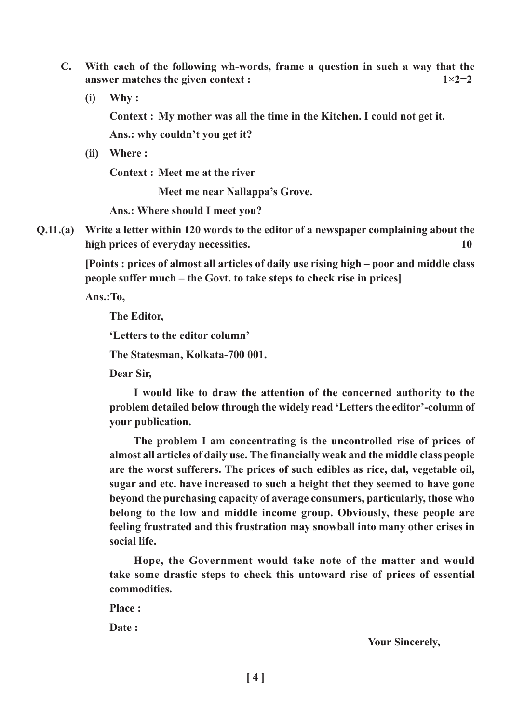- C. With each of the following wh-words, frame a question in such a way that the answer matches the given context :  $1 \times 2=2$ 
	- (i) Why :

Context : My mother was all the time in the Kitchen. I could not get it.

Ans.: why couldn't you get it?

(ii) Where :

Context : Meet me at the river

Meet me near Nallappa's Grove.

Ans.: Where should I meet you?

Q.11.(a) Write a letter within 120 words to the editor of a newspaper complaining about the high prices of everyday necessities. 10

> [Points : prices of almost all articles of daily use rising high – poor and middle class people suffer much – the Govt. to take steps to check rise in prices]

Ans.:To,

The Editor,

'Letters to the editor column'

The Statesman, Kolkata-700 001.

Dear Sir,

I would like to draw the attention of the concerned authority to the problem detailed below through the widely read 'Letters the editor'-column of your publication.

The problem I am concentrating is the uncontrolled rise of prices of almost all articles of daily use. The financially weak and the middle class people are the worst sufferers. The prices of such edibles as rice, dal, vegetable oil, sugar and etc. have increased to such a height thet they seemed to have gone beyond the purchasing capacity of average consumers, particularly, those who belong to the low and middle income group. Obviously, these people are feeling frustrated and this frustration may snowball into many other crises in social life.

Hope, the Government would take note of the matter and would take some drastic steps to check this untoward rise of prices of essential commodities.

Place ·

Date:

Your Sincerely,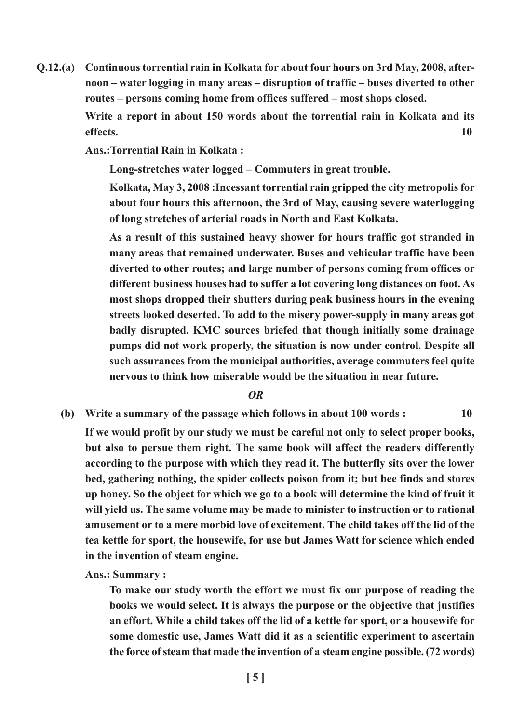Q.12.(a) Continuous torrential rain in Kolkata for about four hours on 3rd May, 2008, afternoon – water logging in many areas – disruption of traffic – buses diverted to other routes – persons coming home from offices suffered – most shops closed.

> Write a report in about 150 words about the torrential rain in Kolkata and its effects. The set of the set of the set of the set of the set of the set of the set of the set of the set of the set of the set of the set of the set of the set of the set of the set of the set of the set of the set of the

Ans.:Torrential Rain in Kolkata :

Long-stretches water logged – Commuters in great trouble.

Kolkata, May 3, 2008 :Incessant torrential rain gripped the city metropolis for about four hours this afternoon, the 3rd of May, causing severe waterlogging of long stretches of arterial roads in North and East Kolkata.

As a result of this sustained heavy shower for hours traffic got stranded in many areas that remained underwater. Buses and vehicular traffic have been diverted to other routes; and large number of persons coming from offices or different business houses had to suffer a lot covering long distances on foot. As most shops dropped their shutters during peak business hours in the evening streets looked deserted. To add to the misery power-supply in many areas got badly disrupted. KMC sources briefed that though initially some drainage pumps did not work properly, the situation is now under control. Despite all such assurances from the municipal authorities, average commuters feel quite nervous to think how miserable would be the situation in near future.

#### OR

(b) Write a summary of the passage which follows in about  $100$  words :  $10$ 

If we would profit by our study we must be careful not only to select proper books, but also to persue them right. The same book will affect the readers differently according to the purpose with which they read it. The butterfly sits over the lower bed, gathering nothing, the spider collects poison from it; but bee finds and stores up honey. So the object for which we go to a book will determine the kind of fruit it will yield us. The same volume may be made to minister to instruction or to rational amusement or to a mere morbid love of excitement. The child takes off the lid of the tea kettle for sport, the housewife, for use but James Watt for science which ended in the invention of steam engine.

Ans.: Summary :

To make our study worth the effort we must fix our purpose of reading the books we would select. It is always the purpose or the objective that justifies an effort. While a child takes off the lid of a kettle for sport, or a housewife for some domestic use, James Watt did it as a scientific experiment to ascertain the force of steam that made the invention of a steam engine possible. (72 words)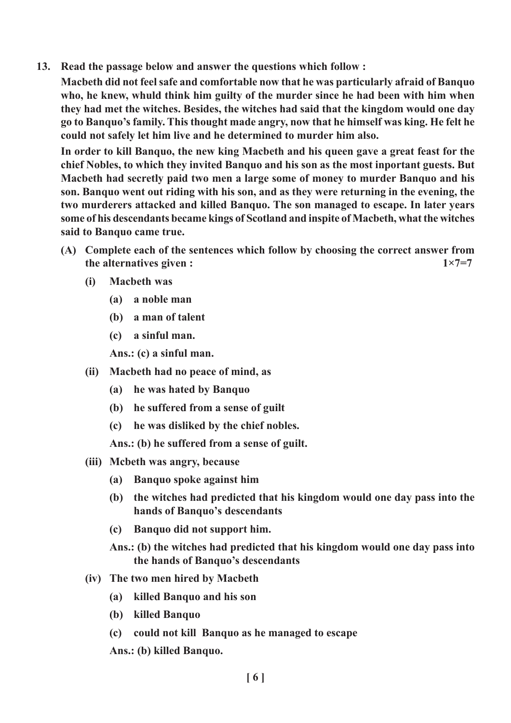13. Read the passage below and answer the questions which follow :

Macbeth did not feel safe and comfortable now that he was particularly afraid of Banquo who, he knew, whuld think him guilty of the murder since he had been with him when they had met the witches. Besides, the witches had said that the kingdom would one day go to Banquo's family. This thought made angry, now that he himself was king. He felt he could not safely let him live and he determined to murder him also.

In order to kill Banquo, the new king Macbeth and his queen gave a great feast for the chief Nobles, to which they invited Banquo and his son as the most inportant guests. But Macbeth had secretly paid two men a large some of money to murder Banquo and his son. Banquo went out riding with his son, and as they were returning in the evening, the two murderers attacked and killed Banquo. The son managed to escape. In later years some of his descendants became kings of Scotland and inspite of Macbeth, what the witches said to Banquo came true.

- (A) Complete each of the sentences which follow by choosing the correct answer from the alternatives given :  $1 \times 7 = 7$ 
	- (i) Macbeth was
		- (a) a noble man
		- (b) a man of talent
		- (c) a sinful man.

Ans.: (c) a sinful man.

- (ii) Macbeth had no peace of mind, as
	- (a) he was hated by Banquo
	- (b) he suffered from a sense of guilt
	- (c) he was disliked by the chief nobles.

Ans.: (b) he suffered from a sense of guilt.

- (iii) Mcbeth was angry, because
	- (a) Banquo spoke against him
	- (b) the witches had predicted that his kingdom would one day pass into the hands of Banquo's descendants
	- (c) Banquo did not support him.
	- Ans.: (b) the witches had predicted that his kingdom would one day pass into the hands of Banquo's descendants
- (iv) The two men hired by Macbeth
	- (a) killed Banquo and his son
	- (b) killed Banquo
	- (c) could not kill Banquo as he managed to escape

Ans.: (b) killed Banquo.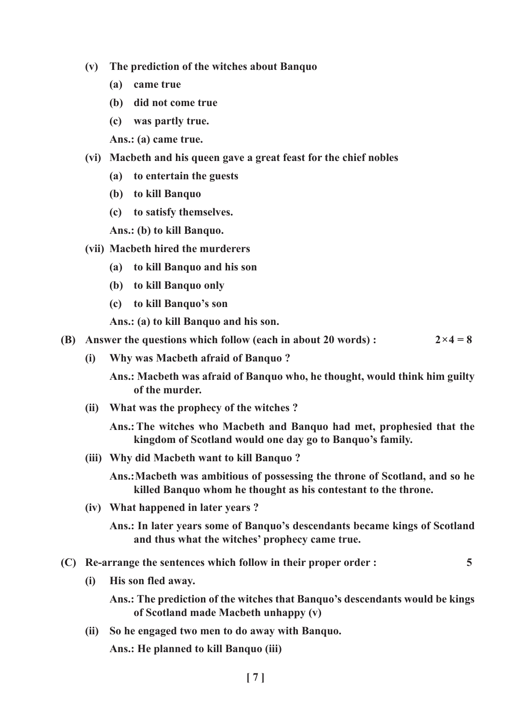- (v) The prediction of the witches about Banquo
	- (a) came true
	- (b) did not come true
	- (c) was partly true.

Ans.: (a) came true.

- (vi) Macbeth and his queen gave a great feast for the chief nobles
	- (a) to entertain the guests
	- (b) to kill Banquo
	- (c) to satisfy themselves.

Ans.: (b) to kill Banquo.

- (vii) Macbeth hired the murderers
	- (a) to kill Banquo and his son
	- (b) to kill Banquo only
	- (c) to kill Banquo's son

Ans.: (a) to kill Banquo and his son.

- (B) Answer the questions which follow (each in about 20 words) :  $2 \times 4 = 8$ 
	- (i) Why was Macbeth afraid of Banquo ?

Ans.: Macbeth was afraid of Banquo who, he thought, would think him guilty of the murder.

(ii) What was the prophecy of the witches ?

Ans.:The witches who Macbeth and Banquo had met, prophesied that the kingdom of Scotland would one day go to Banquo's family.

(iii) Why did Macbeth want to kill Banquo ?

Ans.:Macbeth was ambitious of possessing the throne of Scotland, and so he killed Banquo whom he thought as his contestant to the throne.

(iv) What happened in later years ?

- (C) Re-arrange the sentences which follow in their proper order : 5
	- (i) His son fled away.

Ans.: The prediction of the witches that Banquo's descendants would be kings of Scotland made Macbeth unhappy (v)

(ii) So he engaged two men to do away with Banquo.

Ans.: He planned to kill Banquo (iii)

Ans.: In later years some of Banquo's descendants became kings of Scotland and thus what the witches' prophecy came true.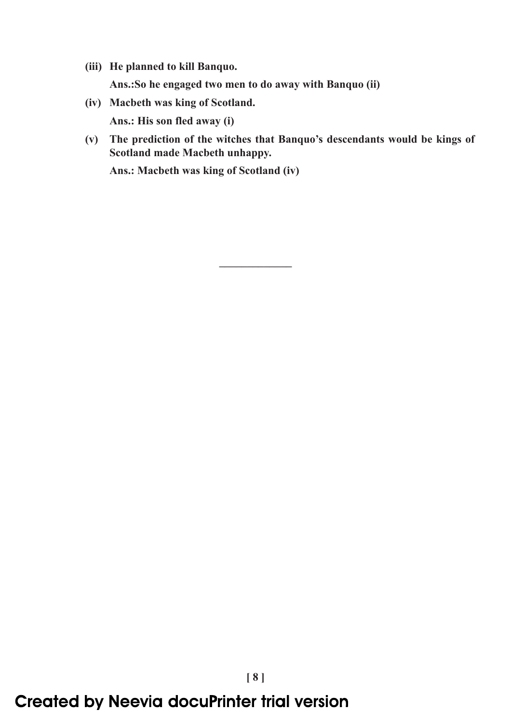- (iii) He planned to kill Banquo. Ans.:So he engaged two men to do away with Banquo (ii)
- (iv) Macbeth was king of Scotland. Ans.: His son fled away (i)
- (v) The prediction of the witches that Banquo's descendants would be kings of Scotland made Macbeth unhappy.

–––––––––––––

Ans.: Macbeth was king of Scotland (iv)

# **Created by Neevia docuPrinter trial version**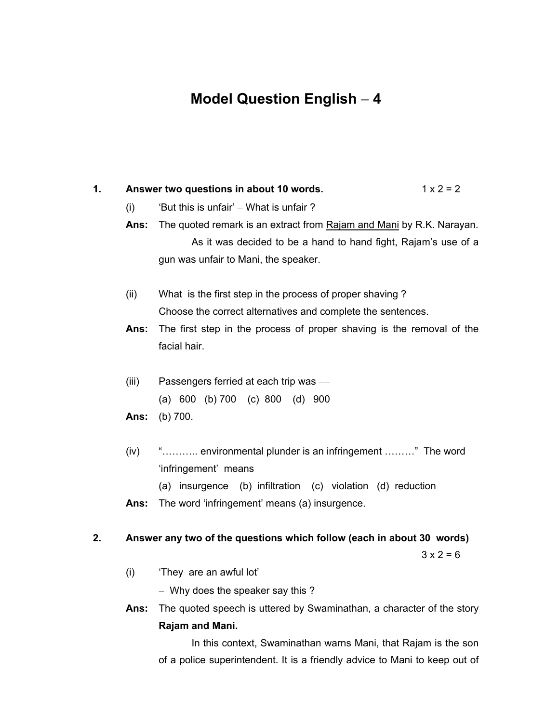# **Model Question English** − **4**

| 1. |       | Answer two questions in about 10 words.                                                                                                | $1 \times 2 = 2$ |  |
|----|-------|----------------------------------------------------------------------------------------------------------------------------------------|------------------|--|
|    | (i)   | 'But this is unfair' – What is unfair?                                                                                                 |                  |  |
|    | Ans:  | The quoted remark is an extract from Rajam and Mani by R.K. Narayan.<br>As it was decided to be a hand to hand fight, Rajam's use of a |                  |  |
|    |       |                                                                                                                                        |                  |  |
|    |       | gun was unfair to Mani, the speaker.                                                                                                   |                  |  |
|    | (ii)  | What is the first step in the process of proper shaving?                                                                               |                  |  |
|    |       | Choose the correct alternatives and complete the sentences.                                                                            |                  |  |
|    | Ans:  | The first step in the process of proper shaving is the removal of the                                                                  |                  |  |
|    |       | facial hair.                                                                                                                           |                  |  |
|    | (iii) | Passengers ferried at each trip was -                                                                                                  |                  |  |
|    |       | (a) $600$ (b) $700$ (c) $800$ (d) $900$                                                                                                |                  |  |
|    | Ans:  | (b) 700.                                                                                                                               |                  |  |
|    | (iv)  | " environmental plunder is an infringement " The word                                                                                  |                  |  |
|    |       | 'infringement' means                                                                                                                   |                  |  |
|    |       | (a) insurgence (b) infiltration (c) violation (d) reduction                                                                            |                  |  |
|    | Ans:  | The word 'infringement' means (a) insurgence.                                                                                          |                  |  |

## **2. Answer any two of the questions which follow (each in about 30 words)**

 $3 x 2 = 6$ 

- (i) 'They are an awful lot'
	- − Why does the speaker say this ?
- **Ans:** The quoted speech is uttered by Swaminathan, a character of the story **Rajam and Mani.**

In this context, Swaminathan warns Mani, that Rajam is the son of a police superintendent. It is a friendly advice to Mani to keep out of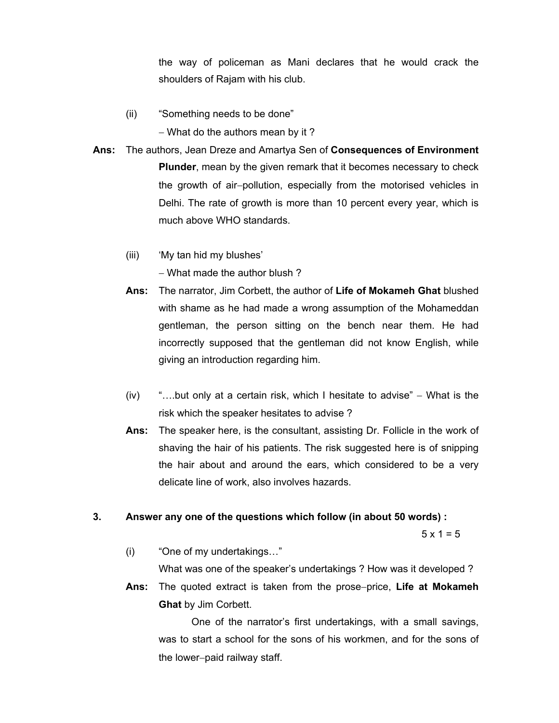the way of policeman as Mani declares that he would crack the shoulders of Rajam with his club.

(ii) "Something needs to be done"

− What do the authors mean by it ?

- **Ans:** The authors, Jean Dreze and Amartya Sen of **Consequences of Environment Plunder**, mean by the given remark that it becomes necessary to check the growth of air−pollution, especially from the motorised vehicles in Delhi. The rate of growth is more than 10 percent every year, which is much above WHO standards.
	- (iii) 'My tan hid my blushes'

− What made the author blush ?

- **Ans:** The narrator, Jim Corbett, the author of **Life of Mokameh Ghat** blushed with shame as he had made a wrong assumption of the Mohameddan gentleman, the person sitting on the bench near them. He had incorrectly supposed that the gentleman did not know English, while giving an introduction regarding him.
- (iv) "….but only at a certain risk, which I hesitate to advise" − What is the risk which the speaker hesitates to advise ?
- **Ans:** The speaker here, is the consultant, assisting Dr. Follicle in the work of shaving the hair of his patients. The risk suggested here is of snipping the hair about and around the ears, which considered to be a very delicate line of work, also involves hazards.

#### **3. Answer any one of the questions which follow (in about 50 words) :**

 $5 \times 1 = 5$ 

(i) "One of my undertakings…"

What was one of the speaker's undertakings ? How was it developed ?

**Ans:** The quoted extract is taken from the prose−price, **Life at Mokameh Ghat** by Jim Corbett.

One of the narrator's first undertakings, with a small savings, was to start a school for the sons of his workmen, and for the sons of the lower−paid railway staff.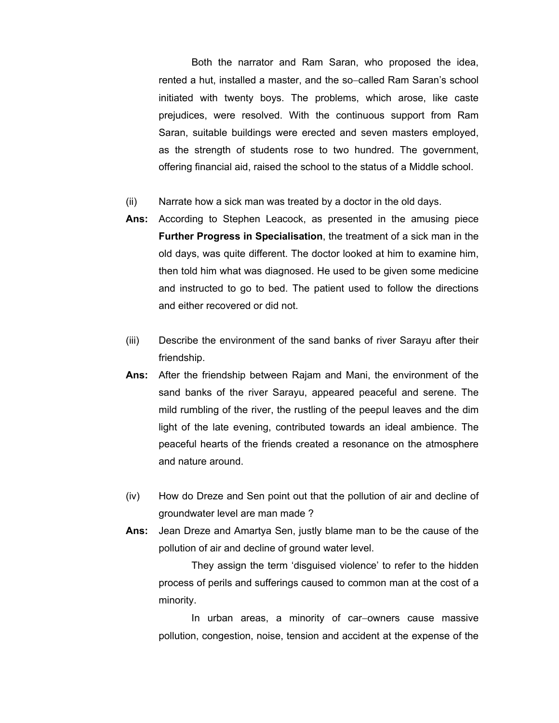Both the narrator and Ram Saran, who proposed the idea, rented a hut, installed a master, and the so−called Ram Saran's school initiated with twenty boys. The problems, which arose, like caste prejudices, were resolved. With the continuous support from Ram Saran, suitable buildings were erected and seven masters employed, as the strength of students rose to two hundred. The government, offering financial aid, raised the school to the status of a Middle school.

- (ii) Narrate how a sick man was treated by a doctor in the old days.
- **Ans:** According to Stephen Leacock, as presented in the amusing piece **Further Progress in Specialisation**, the treatment of a sick man in the old days, was quite different. The doctor looked at him to examine him, then told him what was diagnosed. He used to be given some medicine and instructed to go to bed. The patient used to follow the directions and either recovered or did not.
- (iii) Describe the environment of the sand banks of river Sarayu after their friendship.
- **Ans:** After the friendship between Rajam and Mani, the environment of the sand banks of the river Sarayu, appeared peaceful and serene. The mild rumbling of the river, the rustling of the peepul leaves and the dim light of the late evening, contributed towards an ideal ambience. The peaceful hearts of the friends created a resonance on the atmosphere and nature around.
- (iv) How do Dreze and Sen point out that the pollution of air and decline of groundwater level are man made ?
- **Ans:** Jean Dreze and Amartya Sen, justly blame man to be the cause of the pollution of air and decline of ground water level.

They assign the term 'disguised violence' to refer to the hidden process of perils and sufferings caused to common man at the cost of a minority.

In urban areas, a minority of car−owners cause massive pollution, congestion, noise, tension and accident at the expense of the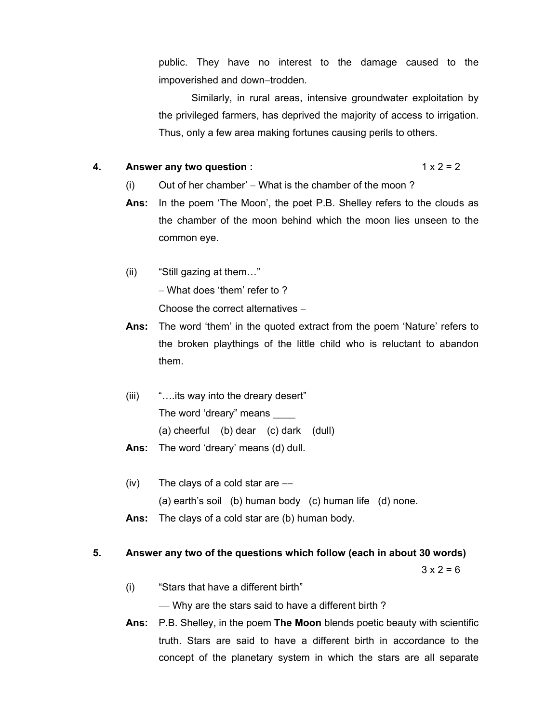public. They have no interest to the damage caused to the impoverished and down−trodden.

Similarly, in rural areas, intensive groundwater exploitation by the privileged farmers, has deprived the majority of access to irrigation. Thus, only a few area making fortunes causing perils to others.

#### **4.** Answer any two question :  $1 \times 2 = 2$

- (i) Out of her chamber' − What is the chamber of the moon?
- **Ans:** In the poem 'The Moon', the poet P.B. Shelley refers to the clouds as the chamber of the moon behind which the moon lies unseen to the common eye.
- (ii) "Still gazing at them…" − What does 'them' refer to ? Choose the correct alternatives −
- **Ans:** The word 'them' in the quoted extract from the poem 'Nature' refers to the broken playthings of the little child who is reluctant to abandon them.
- (iii) "….its way into the dreary desert" The word 'dreary" means (a) cheerful (b) dear (c) dark (dull) **Ans:** The word 'dreary' means (d) dull.
- (iv) The clays of a cold star are  $-$ − (a) earth's soil (b) human body (c) human life (d) none.
- **Ans:** The clays of a cold star are (b) human body.

#### **5. Answer any two of the questions which follow (each in about 30 words)**

 $3 \times 2 = 6$ 

(i) "Stars that have a different birth"

−− Why are the stars said to have a different birth ?

**Ans:** P.B. Shelley, in the poem **The Moon** blends poetic beauty with scientific truth. Stars are said to have a different birth in accordance to the concept of the planetary system in which the stars are all separate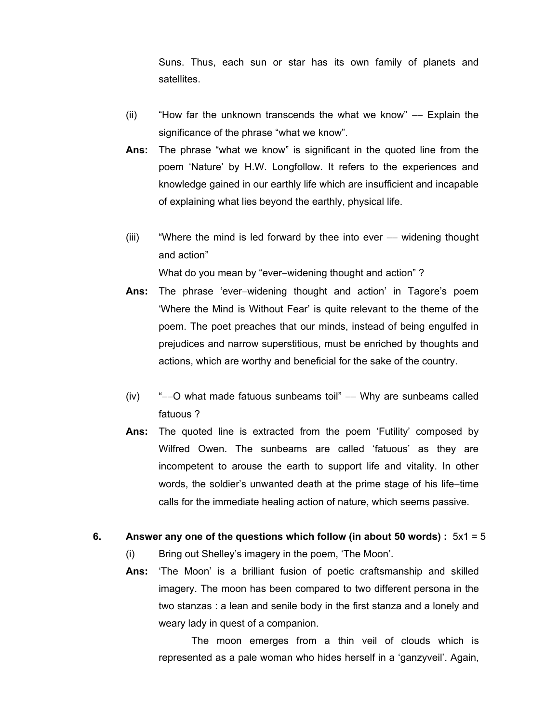Suns. Thus, each sun or star has its own family of planets and satellites.

- (ii) "How far the unknown transcends the what we know" −− Explain the significance of the phrase "what we know".
- **Ans:** The phrase "what we know" is significant in the quoted line from the poem 'Nature' by H.W. Longfollow. It refers to the experiences and knowledge gained in our earthly life which are insufficient and incapable of explaining what lies beyond the earthly, physical life.
- (iii) "Where the mind is led forward by thee into ever −− widening thought and action"

What do you mean by "ever−widening thought and action" ?

- **Ans:** The phrase 'ever−widening thought and action' in Tagore's poem 'Where the Mind is Without Fear' is quite relevant to the theme of the poem. The poet preaches that our minds, instead of being engulfed in prejudices and narrow superstitious, must be enriched by thoughts and actions, which are worthy and beneficial for the sake of the country.
- (iv) "––O what made fatuous sunbeams toil" –– Why are sunbeams called fatuous ?
- **Ans:** The quoted line is extracted from the poem 'Futility' composed by Wilfred Owen. The sunbeams are called 'fatuous' as they are incompetent to arouse the earth to support life and vitality. In other words, the soldier's unwanted death at the prime stage of his life−time calls for the immediate healing action of nature, which seems passive.
- **6. Answer any one of the questions which follow (in about 50 words) :** 5x1 = 5
	- (i) Bring out Shelley's imagery in the poem, 'The Moon'.
	- **Ans:** 'The Moon' is a brilliant fusion of poetic craftsmanship and skilled imagery. The moon has been compared to two different persona in the two stanzas : a lean and senile body in the first stanza and a lonely and weary lady in quest of a companion.

The moon emerges from a thin veil of clouds which is represented as a pale woman who hides herself in a 'ganzyveil'. Again,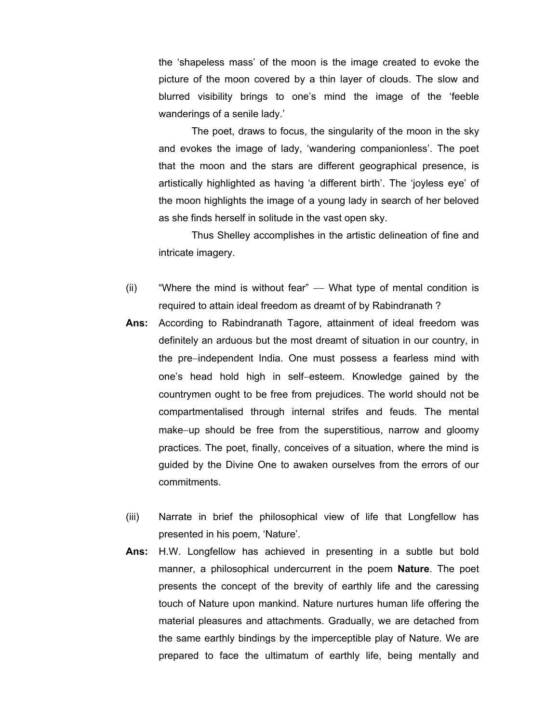the 'shapeless mass' of the moon is the image created to evoke the picture of the moon covered by a thin layer of clouds. The slow and blurred visibility brings to one's mind the image of the 'feeble wanderings of a senile lady.'

The poet, draws to focus, the singularity of the moon in the sky and evokes the image of lady, 'wandering companionless'. The poet that the moon and the stars are different geographical presence, is artistically highlighted as having 'a different birth'. The 'joyless eye' of the moon highlights the image of a young lady in search of her beloved as she finds herself in solitude in the vast open sky.

Thus Shelley accomplishes in the artistic delineation of fine and intricate imagery.

- (ii) "Where the mind is without fear" –– What type of mental condition is required to attain ideal freedom as dreamt of by Rabindranath ?
- **Ans:** According to Rabindranath Tagore, attainment of ideal freedom was definitely an arduous but the most dreamt of situation in our country, in the pre−independent India. One must possess a fearless mind with one's head hold high in self−esteem. Knowledge gained by the countrymen ought to be free from prejudices. The world should not be compartmentalised through internal strifes and feuds. The mental make−up should be free from the superstitious, narrow and gloomy practices. The poet, finally, conceives of a situation, where the mind is guided by the Divine One to awaken ourselves from the errors of our commitments.
- (iii) Narrate in brief the philosophical view of life that Longfellow has presented in his poem, 'Nature'.
- **Ans:** H.W. Longfellow has achieved in presenting in a subtle but bold manner, a philosophical undercurrent in the poem **Nature**. The poet presents the concept of the brevity of earthly life and the caressing touch of Nature upon mankind. Nature nurtures human life offering the material pleasures and attachments. Gradually, we are detached from the same earthly bindings by the imperceptible play of Nature. We are prepared to face the ultimatum of earthly life, being mentally and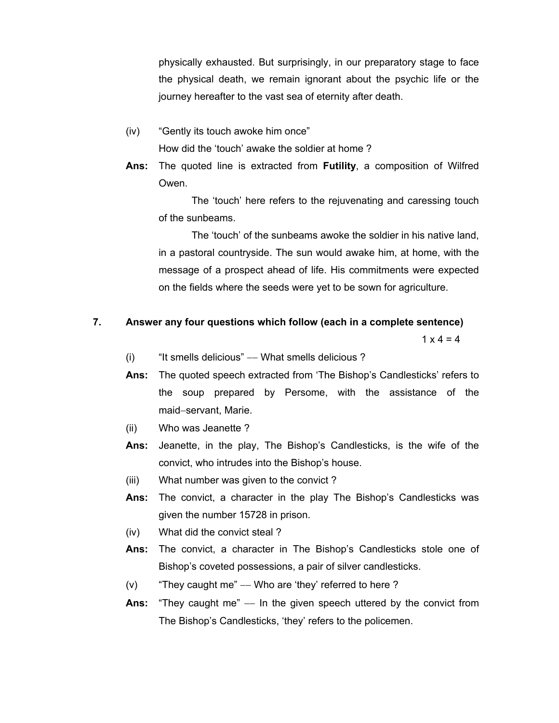physically exhausted. But surprisingly, in our preparatory stage to face the physical death, we remain ignorant about the psychic life or the journey hereafter to the vast sea of eternity after death.

- (iv) "Gently its touch awoke him once" How did the 'touch' awake the soldier at home ?
- **Ans:** The quoted line is extracted from **Futility**, a composition of Wilfred Owen.

The 'touch' here refers to the rejuvenating and caressing touch of the sunbeams.

The 'touch' of the sunbeams awoke the soldier in his native land, in a pastoral countryside. The sun would awake him, at home, with the message of a prospect ahead of life. His commitments were expected on the fields where the seeds were yet to be sown for agriculture.

#### **7. Answer any four questions which follow (each in a complete sentence)**

 $1 \times 4 = 4$ 

- (i) "It smells delicious" −− What smells delicious ?
- **Ans:** The quoted speech extracted from 'The Bishop's Candlesticks' refers to the soup prepared by Persome, with the assistance of the maid−servant, Marie.
- (ii) Who was Jeanette ?
- **Ans:** Jeanette, in the play, The Bishop's Candlesticks, is the wife of the convict, who intrudes into the Bishop's house.
- (iii) What number was given to the convict ?
- **Ans:** The convict, a character in the play The Bishop's Candlesticks was given the number 15728 in prison.
- (iv) What did the convict steal ?
- **Ans:** The convict, a character in The Bishop's Candlesticks stole one of Bishop's coveted possessions, a pair of silver candlesticks.
- (v) "They caught me"  $-$  Who are 'they' referred to here ?
- **Ans:** "They caught me" –– In the given speech uttered by the convict from The Bishop's Candlesticks, 'they' refers to the policemen.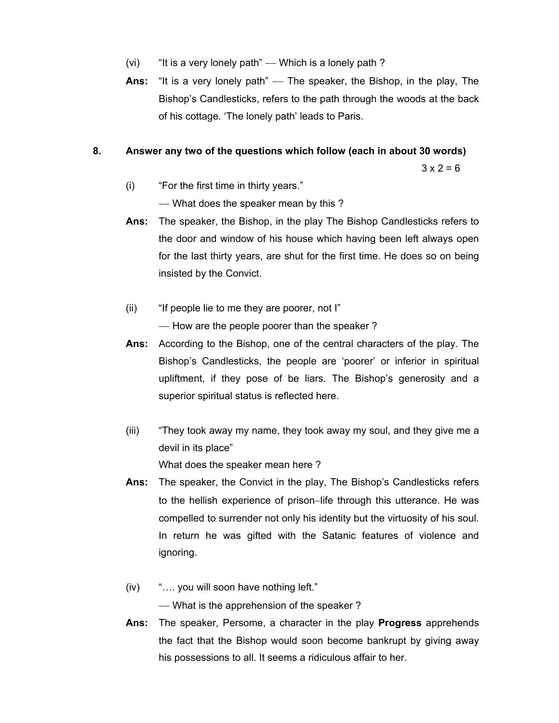- (vi) "It is a very lonely path" –– Which is a lonely path?
- **Ans:** "It is a very lonely path" –– The speaker, the Bishop, in the play, The Bishop's Candlesticks, refers to the path through the woods at the back of his cottage. 'The lonely path' leads to Paris.

#### **8. Answer any two of the questions which follow (each in about 30 words)**

 $3 \times 2 = 6$ 

(i) "For the first time in thirty years."

−− What does the speaker mean by this ?

- **Ans:** The speaker, the Bishop, in the play The Bishop Candlesticks refers to the door and window of his house which having been left always open for the last thirty years, are shut for the first time. He does so on being insisted by the Convict.
- (ii) "If people lie to me they are poorer, not I"

−− How are the people poorer than the speaker ?

- **Ans:** According to the Bishop, one of the central characters of the play. The Bishop's Candlesticks, the people are 'poorer' or inferior in spiritual upliftment, if they pose of be liars. The Bishop's generosity and a superior spiritual status is reflected here.
- (iii) "They took away my name, they took away my soul, and they give me a devil in its place" What does the speaker mean here ?
- **Ans:** The speaker, the Convict in the play, The Bishop's Candlesticks refers to the hellish experience of prison−life through this utterance. He was compelled to surrender not only his identity but the virtuosity of his soul. In return he was gifted with the Satanic features of violence and ignoring.
- (iv) "…. you will soon have nothing left."

−− What is the apprehension of the speaker ?

**Ans:** The speaker, Persome, a character in the play **Progress** apprehends the fact that the Bishop would soon become bankrupt by giving away his possessions to all. It seems a ridiculous affair to her.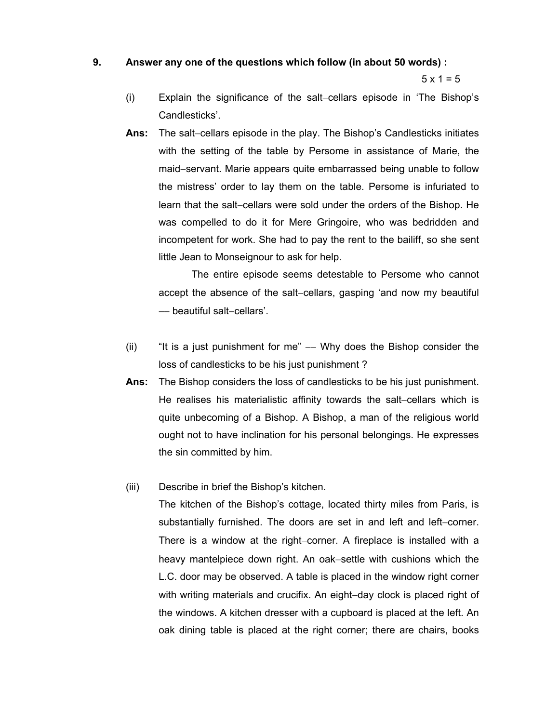#### **9. Answer any one of the questions which follow (in about 50 words) :**

 $5 \times 1 = 5$ 

- (i) Explain the significance of the salt−cellars episode in 'The Bishop's Candlesticks'.
- **Ans:** The salt−cellars episode in the play. The Bishop's Candlesticks initiates with the setting of the table by Persome in assistance of Marie, the maid−servant. Marie appears quite embarrassed being unable to follow the mistress' order to lay them on the table. Persome is infuriated to learn that the salt−cellars were sold under the orders of the Bishop. He was compelled to do it for Mere Gringoire, who was bedridden and incompetent for work. She had to pay the rent to the bailiff, so she sent little Jean to Monseignour to ask for help.

The entire episode seems detestable to Persome who cannot accept the absence of the salt−cellars, gasping 'and now my beautiful −− beautiful salt−cellars'.

- (ii) "It is a just punishment for me"  $-$  Why does the Bishop consider the loss of candlesticks to be his just punishment ?
- **Ans:** The Bishop considers the loss of candlesticks to be his just punishment. He realises his materialistic affinity towards the salt–cellars which is quite unbecoming of a Bishop. A Bishop, a man of the religious world ought not to have inclination for his personal belongings. He expresses the sin committed by him.
- (iii) Describe in brief the Bishop's kitchen.

The kitchen of the Bishop's cottage, located thirty miles from Paris, is substantially furnished. The doors are set in and left and left−corner. There is a window at the right−corner. A fireplace is installed with a heavy mantelpiece down right. An oak−settle with cushions which the L.C. door may be observed. A table is placed in the window right corner with writing materials and crucifix. An eight–day clock is placed right of the windows. A kitchen dresser with a cupboard is placed at the left. An oak dining table is placed at the right corner; there are chairs, books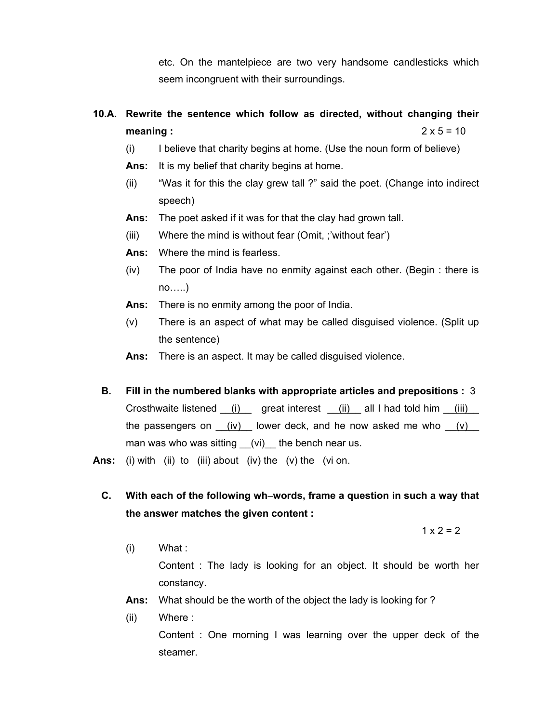etc. On the mantelpiece are two very handsome candlesticks which seem incongruent with their surroundings.

# **10.A. Rewrite the sentence which follow as directed, without changing their meaning :**  $2 \times 5 = 10$

- (i) I believe that charity begins at home. (Use the noun form of believe)
- **Ans:** It is my belief that charity begins at home.
- (ii) "Was it for this the clay grew tall ?" said the poet. (Change into indirect speech)
- **Ans:** The poet asked if it was for that the clay had grown tall.
- (iii) Where the mind is without fear (Omit, ;'without fear')
- **Ans:** Where the mind is fearless.
- (iv) The poor of India have no enmity against each other. (Begin : there is no…..)
- **Ans:** There is no enmity among the poor of India.
- (v) There is an aspect of what may be called disguised violence. (Split up the sentence)
- **Ans:** There is an aspect. It may be called disguised violence.
- **B. Fill in the numbered blanks with appropriate articles and prepositions :** 3 Crosthwaite listened  $(i)$  great interest  $(ii)$  all I had told him  $(iii)$ the passengers on  $(iv)$  lower deck, and he now asked me who  $(iv)$ man was who was sitting  $(vi)$  the bench near us.
- **Ans:** (i) with (ii) to (iii) about (iv) the (v) the (vi on.
	- **C. With each of the following wh**−**words, frame a question in such a way that the answer matches the given content :**

 $1 \times 2 = 2$ 

- (i) What : Content : The lady is looking for an object. It should be worth her constancy.
	- **Ans:** What should be the worth of the object the lady is looking for ?
	- (ii) Where :

Content : One morning I was learning over the upper deck of the steamer.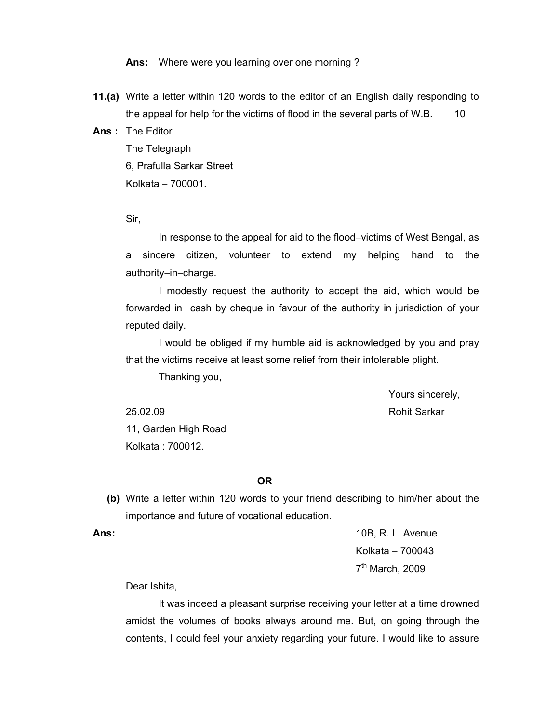**Ans:** Where were you learning over one morning ?

**11.(a)** Write a letter within 120 words to the editor of an English daily responding to the appeal for help for the victims of flood in the several parts of W.B. 10

**Ans :** The Editor

The Telegraph 6, Prafulla Sarkar Street Kolkata − 700001.

Sir,

In response to the appeal for aid to the flood−victims of West Bengal, as a sincere citizen, volunteer to extend my helping hand to the authority−in−charge.

I modestly request the authority to accept the aid, which would be forwarded in cash by cheque in favour of the authority in jurisdiction of your reputed daily.

I would be obliged if my humble aid is acknowledged by you and pray that the victims receive at least some relief from their intolerable plight.

Thanking you,

Yours sincerely,

 25.02.09 Rohit Sarkar 11, Garden High Road Kolkata : 700012.

#### **OR**

 **(b)** Write a letter within 120 words to your friend describing to him/her about the importance and future of vocational education.

**Ans:** 10B, R. L. Avenue Kolkata − 700043 7th March, 2009

Dear Ishita,

It was indeed a pleasant surprise receiving your letter at a time drowned amidst the volumes of books always around me. But, on going through the contents, I could feel your anxiety regarding your future. I would like to assure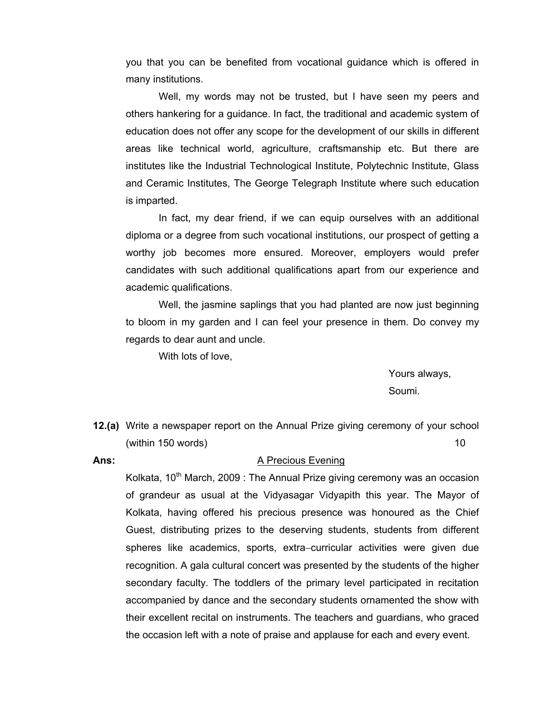you that you can be benefited from vocational guidance which is offered in many institutions.

Well, my words may not be trusted, but I have seen my peers and others hankering for a guidance. In fact, the traditional and academic system of education does not offer any scope for the development of our skills in different areas like technical world, agriculture, craftsmanship etc. But there are institutes like the Industrial Technological Institute, Polytechnic Institute, Glass and Ceramic Institutes, The George Telegraph Institute where such education is imparted.

In fact, my dear friend, if we can equip ourselves with an additional diploma or a degree from such vocational institutions, our prospect of getting a worthy job becomes more ensured. Moreover, employers would prefer candidates with such additional qualifications apart from our experience and academic qualifications.

Well, the jasmine saplings that you had planted are now just beginning to bloom in my garden and I can feel your presence in them. Do convey my regards to dear aunt and uncle.

With lots of love,

Yours always, Soumi.

- **12.(a)** Write a newspaper report on the Annual Prize giving ceremony of your school  $(within 150 words)$  10
- 

#### **Ans:** A Precious Evening

Kolkata,  $10<sup>th</sup>$  March, 2009 : The Annual Prize giving ceremony was an occasion of grandeur as usual at the Vidyasagar Vidyapith this year. The Mayor of Kolkata, having offered his precious presence was honoured as the Chief Guest, distributing prizes to the deserving students, students from different spheres like academics, sports, extra−curricular activities were given due recognition. A gala cultural concert was presented by the students of the higher secondary faculty. The toddlers of the primary level participated in recitation accompanied by dance and the secondary students ornamented the show with their excellent recital on instruments. The teachers and guardians, who graced the occasion left with a note of praise and applause for each and every event.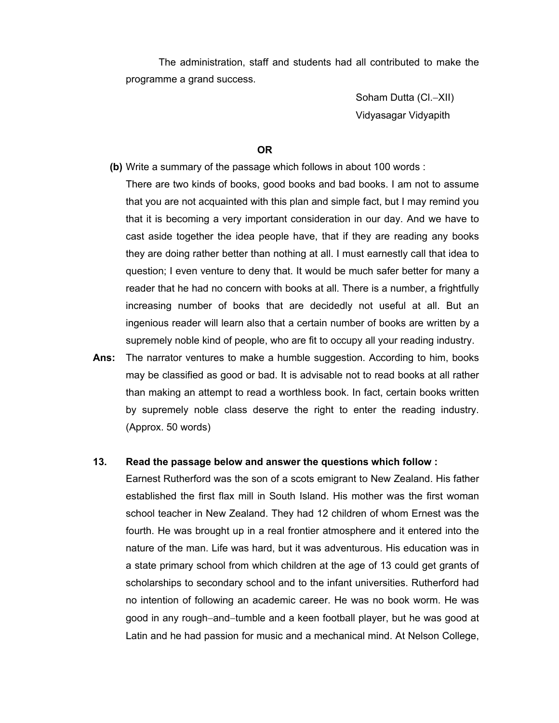The administration, staff and students had all contributed to make the programme a grand success.

> Soham Dutta (Cl.−XII) Vidyasagar Vidyapith

#### **OR**

- **(b)** Write a summary of the passage which follows in about 100 words :
- There are two kinds of books, good books and bad books. I am not to assume that you are not acquainted with this plan and simple fact, but I may remind you that it is becoming a very important consideration in our day. And we have to cast aside together the idea people have, that if they are reading any books they are doing rather better than nothing at all. I must earnestly call that idea to question; I even venture to deny that. It would be much safer better for many a reader that he had no concern with books at all. There is a number, a frightfully increasing number of books that are decidedly not useful at all. But an ingenious reader will learn also that a certain number of books are written by a supremely noble kind of people, who are fit to occupy all your reading industry.
- **Ans:** The narrator ventures to make a humble suggestion. According to him, books may be classified as good or bad. It is advisable not to read books at all rather than making an attempt to read a worthless book. In fact, certain books written by supremely noble class deserve the right to enter the reading industry. (Approx. 50 words)

#### **13. Read the passage below and answer the questions which follow :**

Earnest Rutherford was the son of a scots emigrant to New Zealand. His father established the first flax mill in South Island. His mother was the first woman school teacher in New Zealand. They had 12 children of whom Ernest was the fourth. He was brought up in a real frontier atmosphere and it entered into the nature of the man. Life was hard, but it was adventurous. His education was in a state primary school from which children at the age of 13 could get grants of scholarships to secondary school and to the infant universities. Rutherford had no intention of following an academic career. He was no book worm. He was good in any rough−and−tumble and a keen football player, but he was good at Latin and he had passion for music and a mechanical mind. At Nelson College,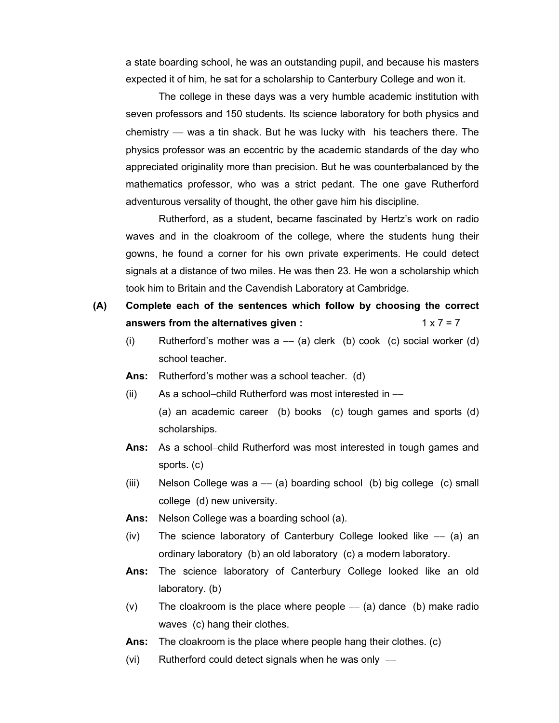a state boarding school, he was an outstanding pupil, and because his masters expected it of him, he sat for a scholarship to Canterbury College and won it.

The college in these days was a very humble academic institution with seven professors and 150 students. Its science laboratory for both physics and chemistry −− was a tin shack. But he was lucky with his teachers there. The physics professor was an eccentric by the academic standards of the day who appreciated originality more than precision. But he was counterbalanced by the mathematics professor, who was a strict pedant. The one gave Rutherford adventurous versality of thought, the other gave him his discipline.

Rutherford, as a student, became fascinated by Hertz's work on radio waves and in the cloakroom of the college, where the students hung their gowns, he found a corner for his own private experiments. He could detect signals at a distance of two miles. He was then 23. He won a scholarship which took him to Britain and the Cavendish Laboratory at Cambridge.

# **(A) Complete each of the sentences which follow by choosing the correct answers from the alternatives given :**  $1 \times 7 = 7$

- (i) Rutherford's mother was  $a (a)$  clerk (b) cook (c) social worker (d) school teacher.
- **Ans:** Rutherford's mother was a school teacher. (d)
- (ii) As a school−child Rutherford was most interested in −− (a) an academic career (b) books (c) tough games and sports (d) scholarships.
- **Ans:** As a school−child Rutherford was most interested in tough games and sports. (c)
- (iii) Nelson College was  $a (a)$  boarding school (b) big college (c) small college (d) new university.
- **Ans:** Nelson College was a boarding school (a).
- (iv) The science laboratory of Canterbury College looked like −− (a) an ordinary laboratory (b) an old laboratory (c) a modern laboratory.
- **Ans:** The science laboratory of Canterbury College looked like an old laboratory. (b)
- (v) The cloakroom is the place where people  $-(-a)$  dance (b) make radio waves (c) hang their clothes.
- **Ans:** The cloakroom is the place where people hang their clothes. (c)
- (vi) Rutherford could detect signals when he was only −−